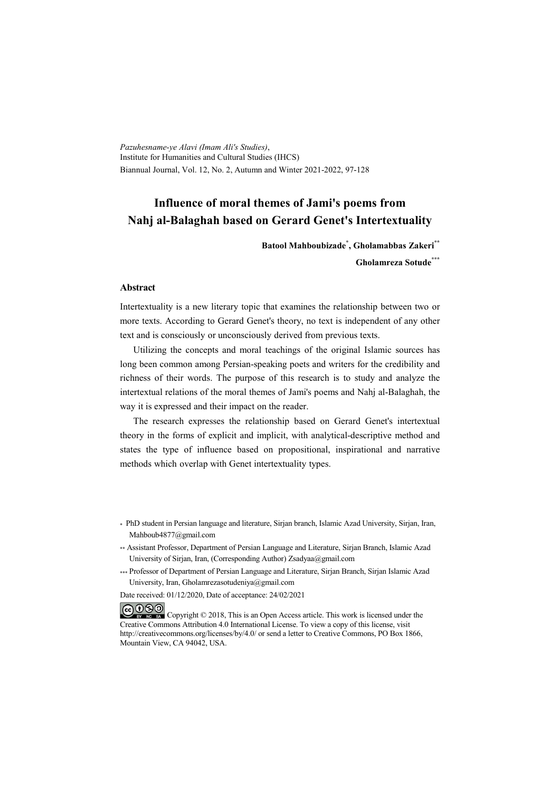*Pazuhesname-ye Alavi (Imam Ali's Studies)*, Institute for Humanities and Cultural Studies (IHCS) Biannual Journal, Vol. 12, No. 2, Autumn and Winter 2021-2022, 97-128

# **Influence of moral themes of Jami's poems from Nahj al-Balaghah based on Gerard Genet's Intertextuality**

**Batool Mahboubizade\* , Gholamabbas Zakeri\*\***

**Gholamreza Sotude\*\*\***

#### **Abstract**

Intertextuality is a new literary topic that examines the relationship between two or more texts. According to Gerard Genet's theory, no text is independent of any other text and is consciously or unconsciously derived from previous texts.

Utilizing the concepts and moral teachings of the original Islamic sources has long been common among Persian-speaking poets and writers for the credibility and richness of their words. The purpose of this research is to study and analyze the intertextual relations of the moral themes of Jami's poems and Nahj al-Balaghah, the way it is expressed and their impact on the reader.

The research expresses the relationship based on Gerard Genet's intertextual theory in the forms of explicit and implicit, with analytical-descriptive method and states the type of influence based on propositional, inspirational and narrative methods which overlap with Genet intertextuality types.

- \* PhD student in Persian language and literature, Sirjan branch, Islamic Azad University, Sirjan, Iran, Mahboub4877@gmail.com
- \*\* Assistant Professor, Department of Persian Language and Literature, Sirjan Branch, Islamic Azad University of Sirjan, Iran, (Corresponding Author) Zsadyaa@gmail.com
- \*\*\* Professor of Department of Persian Language and Literature, Sirjan Branch, Sirjan Islamic Azad University, Iran, Gholamrezasotudeniya@gmail.com

Date received: 01/12/2020, Date of acceptance: 24/02/2021

COOO Copyright © 2018, This is an Open Access article. This work is licensed under the Creative Commons Attribution 4.0 International License. To view a copy of this license, visit http://creativecommons.org/licenses/by/4.0/ or send a letter to Creative Commons, PO Box 1866, Mountain View, CA 94042, USA.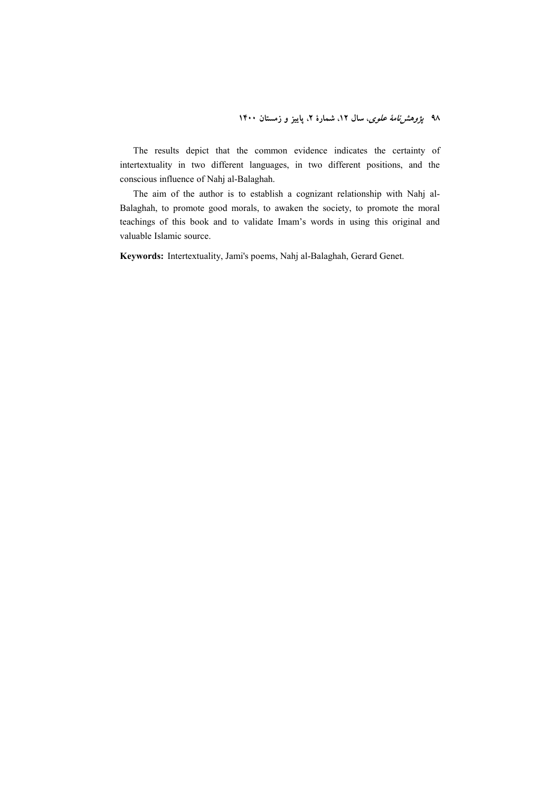The results depict that the common evidence indicates the certainty of intertextuality in two different languages, in two different positions, and the conscious influence of Nahj al-Balaghah.

The aim of the author is to establish a cognizant relationship with Nahj al-Balaghah, to promote good morals, to awaken the society, to promote the moral teachings of this book and to validate Imam's words in using this original and valuable Islamic source.

**Keywords:** Intertextuality, Jami's poems, Nahj al-Balaghah, Gerard Genet.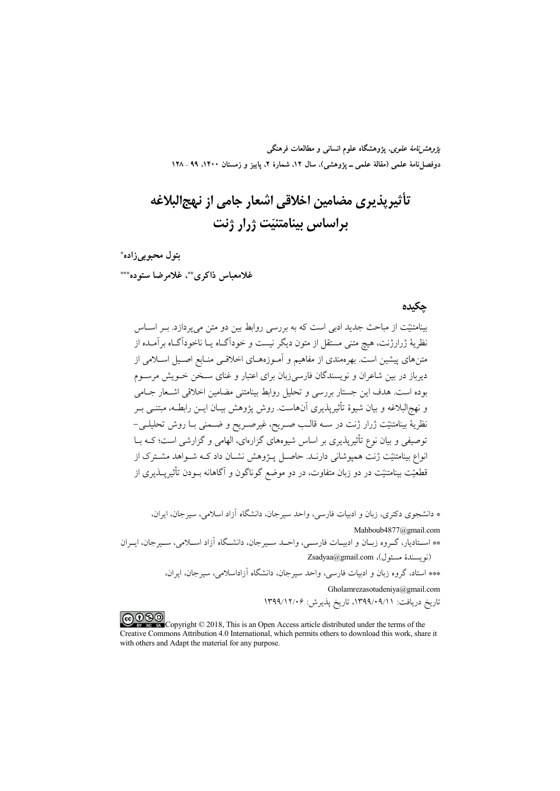*پژوهشنامهٔ علوی*، پژوهشگاه علوم انسانی و مطالعات فرهنگی دوفصلiاههٔ علمی (مقالهٔ علمی ــ پژوهشی)، سال ۱۲، شمارهٔ ۲، پاییز و زمستان ۱۴۰۰، ۹۹ ـ ۱۲۸

# تأثیریذیری مضامین اخلاقی اشعار جامی از نهج|لبلاغه براساس بينامتنيّت ژرار ژنت

بتول محبوبي زاده\* غلامعباس ذاكري \*\*، غلامرضا ستوده\*\*\*

### حكىدە

بینامتنیّت از مباحث جدید ادبی است که به بررسی روابط بین دو متن می پردازد. بــر اســاس نظریهٔ ژرارژنت، هیچ متنی مستقل از متون دیگر نیست و خوداگـاه یــا ناخوداگــاه برآمــده از .<br>متنهای پیشین است. بهرهمندی از مفاهیم و آمـوزههـای اخلاقـبی منـابع اصـیل اســلامی از دیرباز در بین شاعران و نویسندگان فارسی(بان برای اعتبار و غنای ســخن خــویش مرســوم بوده است. هدف این جستار بررسی و تحلیل روابط بینامتنی مضامین اخلاقی اشـعار جـامی و نهجرالبلاغه و بيان شيوهٔ تأثیرپذيري آنهاست. روش پژوهش بيبان اين رابطيه، ميتنبي پ نظريهٔ بينامتنيّت ژرار ژنت در ســه قالــب صــريح، غيرصــريح و ضــمنى بــا روش تحليلــي− توصیفی و بیان نوع تأثیرپذیری بر اساس شیوههای گزارهای، الهامی و گزارشی است؛ کـه بــا انواع بینامتنیّت ژنت همیوشانی دارنـد. حاصـل پــژوهش نشــان داد کــه شــواهد مشــترک از قطعیّت بینامتنیّت در دو زبان متفاوت، در دو موضع گوناگون و آگاهانه بــودن تأثیر پـــذیری از

\* دانشجوی دکتری، زبان و ادبیات فارسی، واحد سیرجان، دانشگاه آزاد اسلامی، سیرجان، ایران،

Mahboub4877@gmail.com

\*\* اسـتاديار، گـروه زبـان و ادبيـات فارسـي، واحـد سـيرجان، دانشـگاه آزاد اسـلامي، سـيرجان، ايـران (نويسندة مسئول)، Zsadyaa@gmail.com

\*\*\* استاد، گروه زبان و ادبیات فارسی، واحد سیرجان، دانشگاه آزاداسلامی، سیرجان، ایران،

Gholamrezasotudeniya@gmail.com تاريخ دريافت: ٠٩/١٠٩/١٣٩٩، تاريخ پذيرش: ١٣٩٩/١٢/٠۶

COOD experience Copyright © 2018, This is an Open Access article distributed under the terms of the Creative Commons Attribution 4.0 International, which permits others to download this work, share it with others and Adapt the material for any purpose.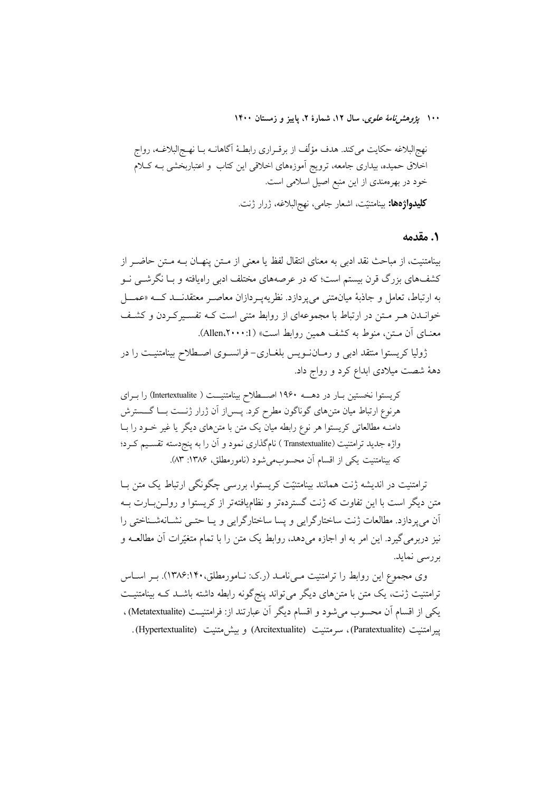۱۰۰ ب*ژوهش نامهٔ علوی*، سال ۱۲، شمارهٔ ۲، پاییز و زمستان ۱۴۰۰

### 1. مقدمه

بينامتنيت، از مباحث نقد ادبي به معناي انتقال لفظ يا معنى از مـتن ينهــان بــه مـتن حاضــر از کشفهای بزرگ قرن بیستم است؛ که در عرصههای مختلف ادبی راهیافته و بـا نگرشــی نــو به ارتباط، تعامل و جاذبهٔ میان متنی می یر دازد. نظر یه یــر دازان معاصــر معتقدنـــد کــــه «عمـــل خوانــدن هــر مــتن در ارتباط با مجموعهای از روابط متنی است کــه تفســیرکــردن و کشــف معنـاي آن مـتن، منوط به كشف همين روابط است» (1: Allen،۲۰۰۰).

ژولیا کریستوا منتقد ادبی و رمـانiـویس بلغـاری- فرانســوی اصــطلاح بینامتنیــت را در دههٔ شصت میلادی ابداع کرد و رواج داد.

کریستوا نخستین بـار در دهـــه ۱۹۶۰ اصـــطلاح بینامتنیـــت ( Intertextualite) را بـرای هرنوع ارتباط میان متن های گوناگون مطرح کرد. پــس|ز آن ژرار ژنـــت بـــا گــــــــترش دامنـه مطالعاتی کریستوا هر نوع رابطه میان یک متن با متنهای دیگر یا غیر خـود را بـا واژه جدید ترامتنیت (Transtextualite ) نامگذاری نمود و آن را به پنج<سته تقسیم کـرد؛ كه بينامتنيت يكي از اقسام أن محسوب مي شود (نامورمطلق، ١٣٨۶: ٨٣).

ترامتنیت در اندیشه ژنت همانند بینامتنیّت کریستوا، بررسی چگونگی ارتباط یک متن بـا متن دیگر است با این تفاوت که ژنت گستردهتر و نظامیافتهتر از کریستوا و رولـن بـارت بــه ان میپردازد. مطالعات ژنت ساختارگرایی و پسا ساختارگرایی و یـا حتـی نشـانهشـناختی را نیز دربرمی گیرد. این امر به او اجازه میدهد، روابط یک متن را با تمام متغیّرات آن مطالعــه و بررسى نمايد.

وی مجموع این روابط را ترامتنیت مـیiامـد (ر.ک: نـامورمطلق،۱۴۰(۱۳۸۶). بـر اسـاس ترامتنیت ژنت، یک متن با متن های دیگر می تواند پنج گونه رابطه داشته باشــد کــه بینامتنیــت يكي از اقسام أن محسوب مي شود و اقسام ديگر أن عبارتند از: فرامتنيـت (Metatextualite) . يير امتنيت (Paratextualite)، سرمتنيت (Arcitextualite) و بيش متنيت (Hypertextualite).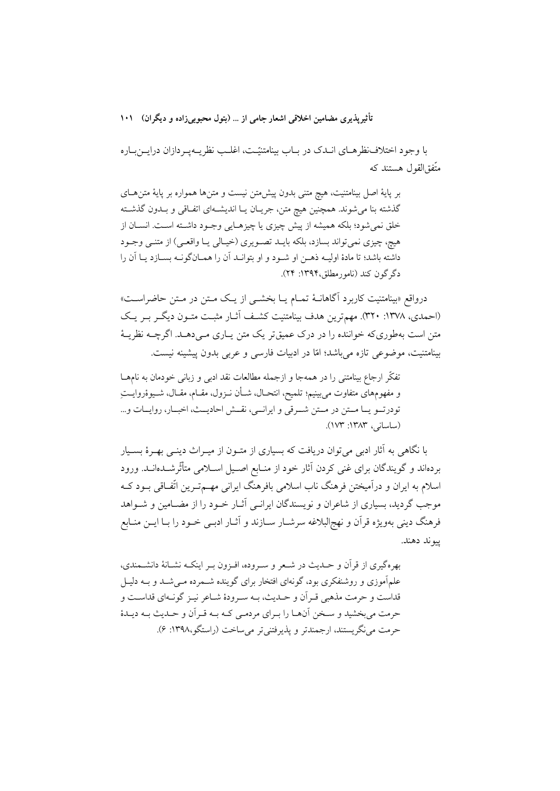با وجود اختلاف نظرهـاي انــدک در بــاب بينامتنيّــت، اغلــب نظريــهيــردازان درايـــن بــاره متَّفق|لقول هستند که

بر پایهٔ اصل بینامتنیت، هیچ متنی بدون پیش متن نیست و متن ها همواره بر پایهٔ متن های گذشته بنا میشوند. همچنین هیچ متن، جریــان یــا اندیشــهای اتفــاقی و بــدون گذشــته خلق نمیشود؛ بلکه همیشه از پیش چیزی یا چیزهـایی وجـود داشـته اسـت. انسـان از هيچ، چيزي نمي تواند بسازد، بلكه بايـد تصـويري (خيـالي يـا واقعـي) از متنـي وجـود داشته باشد؛ تا مادهٔ اولیـه ذهـن او شـود و او بتوانـد آن را همـانگونـه بسـازد یـا آن را دگر گون کند (نامورمطلق،۱۳۹۴: ۲۴).

درواقع «بینامتنیت کاربرد آگاهانــهٔ تمــام یــا بخشــی از یــک مــتن در مــتن حاضراســت» (احمدي، ١٣٧٨: ٣٢٠). مهمترين هدف بينامتنيت كشـف أثــار مثبـت متــون ديگــر بــر يــک متن است بهطوري که خواننده را در درک عمیق تر یک متن پیاري میے دهید. اگر چیه نظریـهٔ بینامتنیت، موضوعی تازه میباشد؛ امّا در ادبیات فارسی و عربی بدون پیشینه نیست.

تفكُّر ارجاع بينامتني را در همهجا و ازجمله مطالعات نقد ادبي و زباني خودمان به نامهــا و مفهومهای متفاوت می,بینیم؛ تلمیح، انتحــال، شــأن نــزول، مقــام، مقــال، شــیوۀروایـــتِ تودرتو يا متن در متن شرقى وايرانيي، نقش احاديث، اخبار، روايات و... (ساسانی، ۱۳۸۳: ۱۷۳).

با نگاهی به آثار ادبی می توان دریافت که بسیاری از متـون از میـراث دینـی بهـرهٔ بسـیار بردهاند و گویندگان برای غنی کردن آثار خود از منـابع اصـیل اسـلامی متأثّرشــدهانــد. ورود اسلام به ایران و درآمیختن فرهنگ ناب اسلامی بافرهنگ ایرانی مهــمتـرین اتّفـاقی بــود کــه موجب گردید، بسیاری از شاعران و نویسندگان ایرانسی آثـار خــود را از مضــامین و شــواهد فرهنگ دینی بهویژه قرآن و نهج|لبلاغه سرشــار ســازند و أثــار ادبــی خــود را بــا ایــن منــابع سوند دهند.

بهرهگیری از قرآن و حـدیث در شـعر و سـروده، افـزون بـر اینکـه نشـانهٔ دانشــمندی، علمآموزی و روشنفکری بود، گونهای افتخار برای گوینده شـمرده مـی شـد و بــه دلیـل قداست و حرمت مذهبي قـر اَن و حـديث، بـه سـرودهٔ شـاعر نيـز گونـهاي قداسـت و حرمت مي بخشيد و سـخن آنهــا را بــراي مردمــي كــه بــه قــراَن و حــديث بــه ديــدۀ حرمت مي نگريستند، ارجمندتر و يذيرفتني تر مي ساخت (راستگو،١٣٩٨: ۶).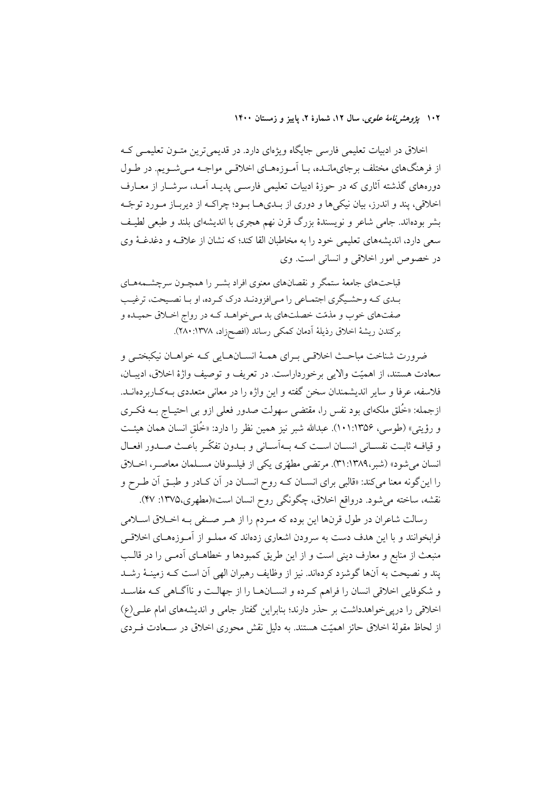۱۰۲ پ*ژوهشرنامهٔ علوی*، سال ۱۲، شمارهٔ ۲، پاییز و زمستان ۱۴۰۰

اخلاق در ادبیات تعلیمی فارسی جایگاه ویژهای دارد. در قدیمیترین متـون تعلیمـی کـه از فرهنگهای مختلف برجایهانـده، بــا آمــوزههــای اخلاقــی مواجــه مــی شــویم. در طــول دورههای گذشته آثاری که در حوزهٔ ادبیات تعلیمی فارســی پدیــد اَمــد، سرشــار از معــارف اخلاقی، پند و اندرز، بیان نیکی ها و دوری از بـدیهـا بـود؛ چراکـه از دیربـاز مـورد توجّـه بشر بودهاند. جامی شاعر و نویسندهٔ بزرگ قرن نهم هجری با اندیشهای بلند و طبعی لطیف سعی دارد، اندیشههای تعلیمی خود را به مخاطبان القا کند؛ که نشان از علاقـه و دغدغـهٔ وی در خصوص امور اخلاقی و انسانی است. وی

قباحتهای جامعهٔ ستمگر و نقصانهای معنوی افراد بشـر را همچـون سرچشـمههـای بـدي كـه وحشـيگري اجتمـاعي را مـي|فزودنـد درك كـرده، او بـا نصـيحت، ترغيـب صفتهای خوب و مذمّت خصلتهای بد مهیخواهـد کـه در رواج اخـلاق حميـده و بركندن ريشة اخلاق رذيلة أدمان كمكي رساند (افصحزاد، ١٣٧٨:٢٨٠).

ضرورت شناخت مباحـث اخلاقـي بـراي همـهٔ انســانهــايي كـه خواهــان نيكبختـي و سعادت هستند، از اهميّت والايي برخورداراست. در تعريف و توصيف واژهٔ اخلاق، اديبـان، فلاسفه، عرفا و سایر اندیشمندان سخن گفته و این واژه را در معانی متعددی بـهکـاربردهانــد. ازجمله: «خُلق ملکهای بود نفس را، مقتضی سهولت صدور فعلی ازو بی احتیــاج بــه فکــری و رؤيتي» (طوسى، ۱۰۱:۱۳۵۶). عبدالله شبر نيز همين نظر را دارد: «خُلق انسان همان هيئت و قيافٍه ثابت نفسـاني انســان اســت كــه بــهأســاني و بــدون تفكّـر باعــث صــدور افعــال انسان مي شود» (شبر،١٣٨٩:٣١). مرتضى مطهّري يكي از فيلسوفان مسـلمان معاصـر، اخـلاق را این گونه معنا میکند: «قالبی برای انســان کــه روح انســان در آن کــادر و طبــق آن طــرح و نقشه، ساخته میشود. درواقع اخلاق، چگونگی روح انسان است»(مطهری،۱۳۷۵: ۴۷).

رسالت شاعران در طول قرنها اين بوده كه مـردم را از هـر صـنفي بـه اخـلاق اسـلامي فرابخوانند و با این هدف دست به سرودن اشعاری زدهاند که مملـو از آمـوزههـای اخلاقـی منبعث از منابع و معارف دینی است و از این طریق کمبودها و خطاهـای آدمـی را در قالـب پند و نصیحت به آنها گوشزد کردهاند. نیز از وظایف رهبران الهی آن است کـه زمینــهٔ رشــد و شکوفایی اخلاقی انسان را فراهم کـرده و انســانهــا را از جهالــت و ناآگــاهی کـه مفاســد اخلاقی را درپی خواهدداشت بر حذر دارند؛ بنابراین گفتار جامی و اندیشههای امام علـی(ع) از لحاظ مقولهٔ اخلاق حائز اهمیّت هستند. به دلیل نقش محوری اخلاق در سـعادت فـردی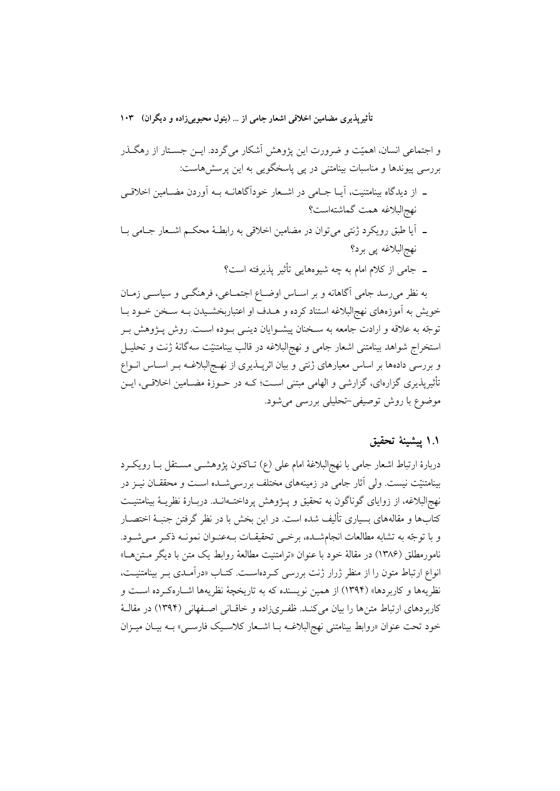و اجتماعی انسان، اهمیّت و ضرورت این پژوهش آشکار می گردد. ایــن جســتار از رهگــذر بررسی پیوندها و مناسبات بینامتنی در یی پاسخگویی به این پرسش هاست:

- ــ از دیدگاه بینامتنیت، آیــا جــامی در اشــعار خودآگاهانــه بــه آوردن مضــامین اخلاقــی نهج البلاغه همت گماشته است؟
- ۔ آیا طبق رویکرد ژنتی می توان در مضامین اخلاقی به رابطـهٔ محکـم اشـعار جـامی بـا نهج|لبلاغه پي برد؟
	- ـ جامی از کلام امام به چه شیوههایی تأثیر پذیرفته است؟

به نظر میرسد جامی آگاهانه و بر اسـاس اوضـاع اجتمـاعی، فرهنگـی و سیاسـی زمـان خویش به آموزههای نهج|لبلاغه استناد کرده و هــدف او اعتباربخشــیدن بــه ســخن خــود بــا توجّه به علاقه و ارادت جامعه به سـخنان پیشــوایان دینــی بــوده اســت. روش پــژوهش بــر استخراج شواهد بينامتني اشعار جامى و نهج|لبلاغه در قالب بينامتنيّت سهگانهٔ ژنت و تحليـل و بررسی دادهها بر اساس معیارهای ژنتی و بیان اثریــذیری از نهــج|لبلاغــه بــر اســاس انــواع تأثیرپذیری گزارهای، گزارشی و الهامی مبتنی اسـت؛ کــه در حــوزهٔ مضــامین اخلاقــی، ایــن موضوع با روش توصیفی-تحلیلی بررسی می شود.

### ١.١ ييشينة تحقيق

دربارهٔ ارتباط اشعار جامی با نهجالبلاغهٔ امام علی (ع) تـاکنون پژوهشــی مســتقل بــا رویکــرد بینامتنیّت نیست. ولی آثار جامی در زمینههای مختلف بررسیشــده اسـت و محققــان نیــز در نهج|لبلاغه، از زوایای گوناگون به تحقیق و پــژوهش پرداختــهانــد. دربــارهٔ نظریــهٔ بینامتنیــت کتابها و مقالههای بسیاری تألیف شده است. در این بخش با در نظر گرفتن جنبـهٔ اختصــار و با توجّه به تشابه مطالعات انجامشـده، برخـي تحقيقـات بـهعنـوان نمونـه ذكـر مـم شـود. نامورمطلق (۱۳۸۶) در مقالهٔ خود با عنوان «ترامتنیت مطالعهٔ روابط یک متن با دیگر مـتنهـا» انواع ارتباط متون را از منظر ژرار ژنت بررسی که دهاست. کتـاب «درآمـدی بـر بینامتنیـت، نظريهها و كاربردها» (١٣٩٤) از همين نويسنده كه به تاريخچهٔ نظريهها اشــارهكـرده اســت و كاربردهاي ارتباط متنها را بيان مي كنـد. ظفـريزاده و خاقـاني اصـفهاني (١٣٩۴) در مقالـهٔ خود تحت عنوان «روابط بينامتني نهج البلاغـه بـا اشـعار كلاسـيك فارسـي» بـه بيـان ميـزان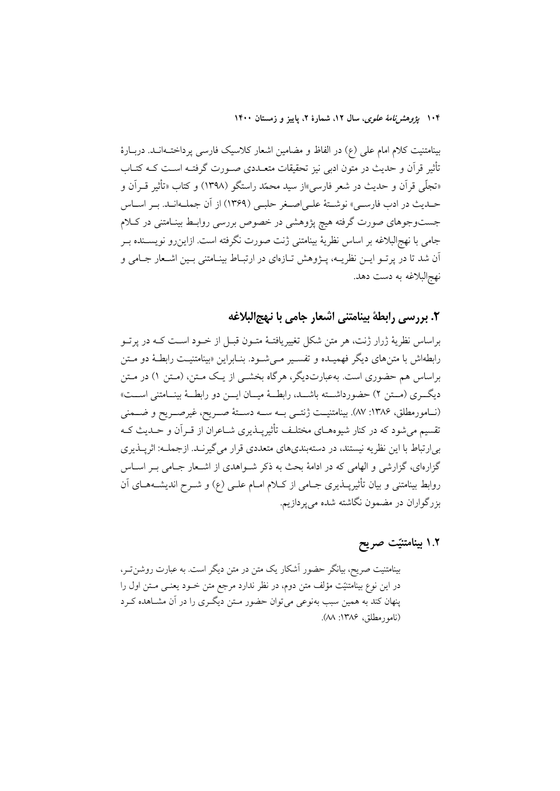۱۰۴ پژ*وهشرنامهٔ علوی*، سال ۱۲، شمارهٔ ۲، پاییز و زمستان ۱۴۰۰

بینامتنیت کلام امام علی (ع) در الفاظ و مضامین اشعار کلاسیک فارسی پرداخت1انـد. دربـارهٔ تأثیر قرآن و حدیث در متون ادبی نیز تحقیقات متعــددی صــورت گرفتــه اســت کــه کتــاب «تجلَّى قرآن و حديث در شعر فارسي»از سيد محمّد راستگو (١٣٩٨) و كتاب «تأثير قــراَن و حـديث در ادب فارسـي» نوشـتهٔ علـي|صـغر حلبـي (١٣۶٩) از آن جملـهانـد. بـر اسـاس جستوجوهای صورت گرفته هیچ پژوهشی در خصوص بررسی روابـط بینـامتنی در کـلام جامی با نهجالبلاغه بر اساس نظریهٔ بینامتنی ژنت صورت نگرفته است. ازاین٫و نویسـنده بـر آن شد تا در پرتـو ايــن نظريــه، پــژوهش تــازهاي در ارتبــاط بينــامتني بــين اشــعار جــامي و نهج|لبلاغه به دست دهد.

٢. بررسي رابطة بينامتني اشعار جامي با نبهجالبلاغه

براساس نظریهٔ ژرار ژنت، هر متن شکل تغییریافتـهٔ متـون قبـل از خـود اسـت کـه در پرتـو رابطهاش با متن های دیگر فهمیــده و تفســیر مــی شــود. بنــابراین «بینامتنیــت رابطـهٔ دو مــتن براساس هم حضوری است. بهعبارتدیگر، هرگاه بخشــی از یــک مــتن، (مــتن ۱) در مـتن ديگري (مستن ٢) حضورداشته باشـد، رابطـهٔ ميــان ايــن دو رابطــهٔ بينــامتني اســت» (نسامورمطلق، ۱۳۸۶: ۸۷). بینامتنیــت ژنتـــی بــه ســـه دســـتهٔ صـــریح، غیرصـــریح و ضـــمنی تقسیم می شود که در کنار شیوههـای مختلـف تأثیرپــذیری شــاعران از قــراَن و حــدیث کــه بی ارتباط با این نظریه نیستند، در دستهبندیهای متعددی قرار می گیرنـد. ازجملـه: اثرپـذیری گزارهای، گزارشی و الهامی که در ادامهٔ بحث به ذکر شـواهدی از اشـعار جـامی بـر اسـاس روابط بینامتنی و بیان تأثیرپــذیری جــامی از کــلام امــام علــی (ع) و شــرح اندیشــههــای آن بزرگواران در مضمون نگاشته شده می پردازیم.

١.٢ بينامتنيّت صريح

بینامتنیت صریح، بیانگر حضور آشکار یک متن در متن دیگر است. به عبارت روشن تـر، در این نوع بینامتنیّت مؤلف متن دوم، در نظر ندارد مرجع متن خـود یعنـی مـتن اول را پنهان کند به همین سبب بهنوعی می توان حضور مـتن دیگـری را در آن مشـاهده کـرد (نامور مطلق، ۱۳۸۶: ۸۸).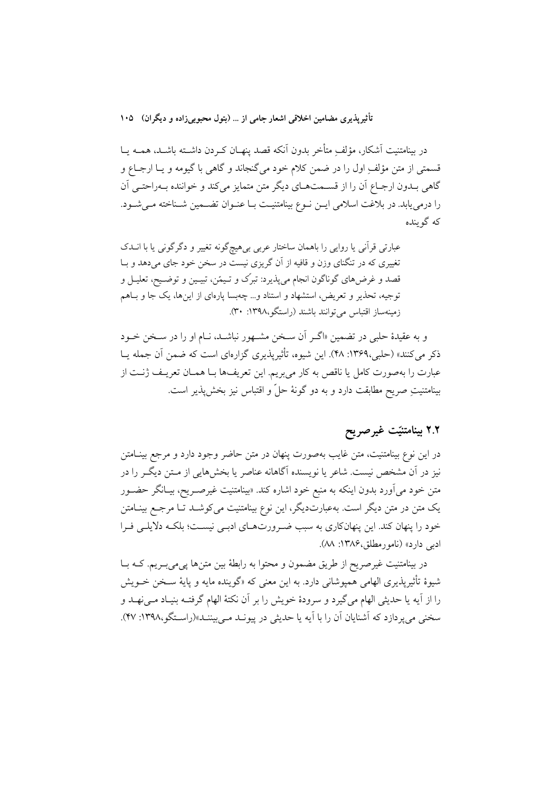در بینامتنیت آشکار، مؤلف ِمتأخر بدون آنکه قصد ینهــان کــردن داشــته باشــد. همــه یــا قسمتي از متن مؤلفٍ اول را در ضمن كلام خود مي گنجاند و گاهي با گيومه و يــا ارجــاع و گاهی بـدون ارجـاع آن را از قسـمتهـای دیگر متن متمایز میکند و خواننده بـهراحتـی آن را درمی یابد. در بلاغت اسلامی ایـن نـوع بینامتنیـت بـا عنـوان تضـمین شـناخته مـیشـود. که گو ىندە

عبارتی قرآنی یا روایی را باهمان ساختار عربی بیهیچگونه تغییر و دگرگونی یا با انــدک تغییری که در تنگنای وزن و قافیه از آن گریزی نیست در سخن خود جای می دهد و بـا قصد و غرضهای گوناگون انجام میپذیرد: تبرک و تـیمّن، تبیـین و توضـیح، تعلیـل و توجیه، تحذیر و تعریض، استشهاد و استناد و... چهبسا پارهای از اینها، یک جا و بـاهم زمینهساز اقتباس میتوانند باشند (راستگو،۱۳۹۸: ۳۰).

و به عقیدهٔ حلبی در تضمین «اگـر اَن سـخن مشـهور نباشـد، نـام او را در سـخن خــود ذکر می کنند» (حلبی،۱۳۶۹. ۴۸). این شیوه، تأثیرپذیری گزارهای است که ضمن آن جمله پـا عبارت را بهصورت كامل يا ناقص به كار مىبريم. اين تعريفها بــا همــان تعريــف ژنــت از بينامتنيتِ صريح مطابقت دارد و به دو گونهٔ حلَّ و اقتباس نيز بخش پذير است.

# ٢.٢ بينامتنيّت غيرصريح

در این نوع بینامتنیت، متن غایب بهصورت پنهان در متن حاضر وجود دارد و مرجع بینــامتن نیز در آن مشخص نیست. شاعر یا نویسنده آگاهانه عناصر یا بخشهایی از مـتن دیگـر را در متن خود میآورد بدون اینکه به منبع خود اشاره کند. «بینامتنیت غیرصـریح، بیــانگر حضــور یک متن در متن دیگر است. بهعبارتدیگر، این نوع بینامتنیت می کوشـد تـا مرجـع بینــامتن خود را پنهان کند. این پنهانکاری به سبب ضرورتهای ادبـی نیسـت؛ بلکـه دلایلـی فـرا ادبي دارد» (نامورمطلق، ۱۳۸۶: M).

در بینامتنیت غیرصریح از طریق مضمون و محتوا به رابطهٔ بین متنها پی می بـریم. کــه بــا شیوهٔ تأثیرپذیری الهامی همپوشانی دارد. به این معنی که «گوینده مایه و پایهٔ سـخن خــویش را از آیه یا حدیثی الهام میگیرد و سرودهٔ خویش را بر آن نکتهٔ الهام گرفتـه بنیـاد مـیiهـد و سخنی می پردازد که آشنایان آن را با آیه یا حدیثی در پیونــد مــی بیننــد»(راسـتگو،۱۳۹۸: ۴۷).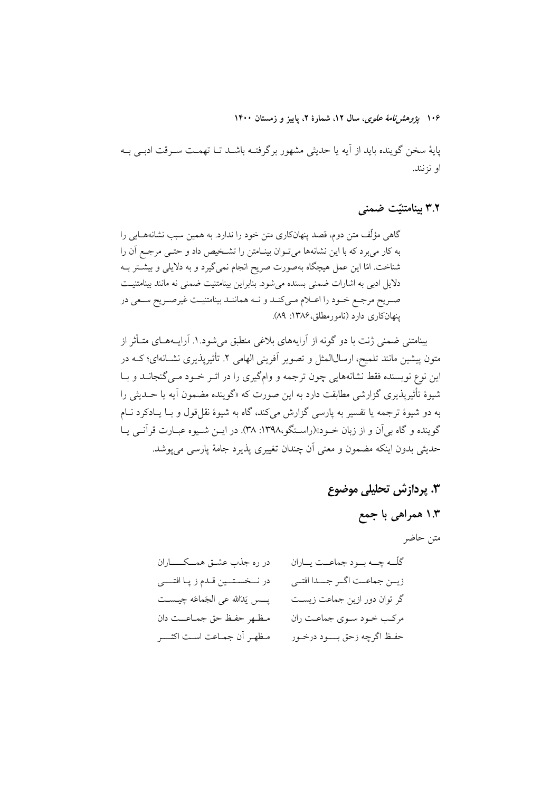۱۰۶ پژ*وهشرنامهٔ علوی*، سال ۱۲، شمارهٔ ۲، پاییز و زمستان ۱۴۰۰

پایهٔ سخن گوینده باید از آیه یا حدیثی مشهور برگرفتـه باشــد تــا تهمــت ســرقت ادبــی بــه او نزنند.

۳.۲ بینامتنیّت ضمنی

گاهی مؤلِّف متن دوم، قصد پنهانکاری متن خود را ندارد. به همین سبب نشانههـایی را به کار میبرد که با این نشانهها میتوان بینـامتن را تشـخیص داد و حتـی مرجـع آن را شناخت. امّا این عمل هیچگاه بهصورت صریح انجام نمیگیرد و به دلایلی و بیشتر بـه دلایل ادبی به اشارات ضمنی بسنده می شود. بنابراین بینامتنیت ضمنی نه مانند بینامتنیت صریح مرجع خـود را اعـلام مـیکنـد و نـه هماننـد بینامتنیـت غیرصـریح سـعی در ينهان کاري دارد (نامورمطلق، ۱۳۸۶: ۸۹).

بینامتنی ضمنی ژنت با دو گونه از آرایههای بلاغی منطبق میشود.۱. آرایــههـای متــأثر از متون پیشین مانند تلمیح، ارسال(لمثل و تصویر اَفرینی الهامی ۲. تأثیرپذیری نشــانهای؛ کــه در این نوع نویسنده فقط نشانههایی چون ترجمه و وامگیری را در اثـر خـود مـی گنجانــد و بــا شیوهٔ تأثیریذیری گزارشی مطابقت دارد به این صورت که «گوینده مضمون آیه یا حــدیثی را به دو شیوهٔ ترجمه یا تفسیر به یارسی گزارش میکند، گاه به شیوهٔ نقل قول و بـا یــادکرد نــام گوينده و گاه بي آن و از زبان خـود»(راسـتگو،١٣٩٨: ٣٨). در ايــن شـيوه عبــارت قر آنــي يــا حديثي بدون اينكه مضمون و معنى أن چندان تغييري يذيرد جامهٔ يارسي مي يوشد.

> 3. پردازش تحلیلی موضوع ۱.۳ همراهي با جمع متن حاضر

| در ره جذب عشــق همـــکــــــــاران   | گلّــه چـــه بــود جماعــت يــاران |
|--------------------------------------|------------------------------------|
| در نــخسـتـــين قــدم ز پـا افتــــي | زيــن جماعــت اگــر جـــدا افتــى  |
| بسس يَدَالله عي الجَماعَه چيــسـت    | گر توان دور ازین جماعت زیست        |
| مظهر حفظ حق جماعت دان                | مرکب خـود سـوي جماعـت ران          |
| مظهر أن جماعت است اكثـــر            | حفظ اگرچه زحق بسود درخمور          |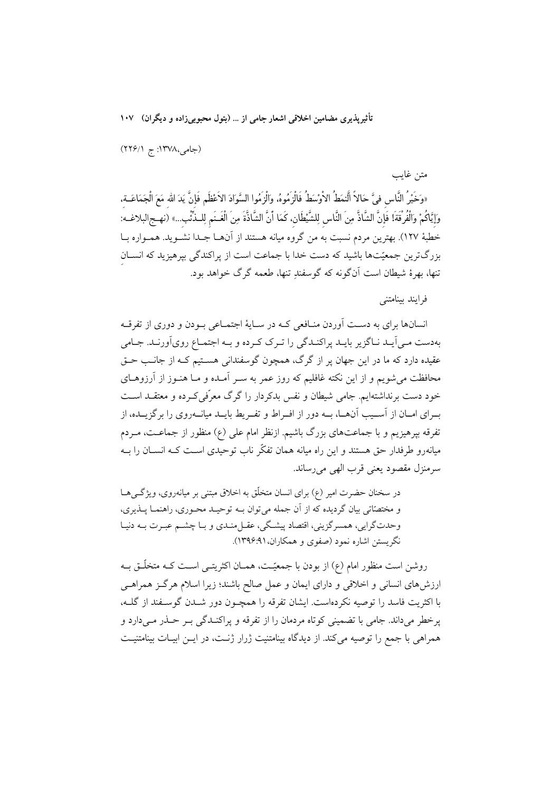(جامی،۱۳۷۸: ج ۲۲۶/۱)

«وَخَيْرُ النَّاسِ فيَّ حَالاً الَّنمَطُ الاْوْسَطُ فَالْزَمُوهُ، وَالْزَمُوا السَّوَادَ الاَعْظَمِ فَإِنَّ يَدَ الله مَعَ الْجَمَاعَــة، وَإِيَّاكُمْ وَالْفُرْقَةَ! فَإِنَّ الشَّاذَّ مِنَ النَّاسِ لِلشَّيْطَانِ، كَمَا أَنَّ الشَّاذَّةَ مِنَ الْغَـنَم لِلـذِّئّب...» (نهـج البلاغـه): خطبهٔ ۱۲۷). بهترین مردم نسبت به من گروه میانه هستند از آنهــا جــدا نشــوید. همــواره بــا بزرگترین جمعیّتها باشید که دست خدا با جماعت است از پراکندگی بپرهیزید که انسـان تنها، بهرهٔ شیطان است آنگونه که گوسفند تنها، طعمه گرگ خواهد بود.

فرابند ببنامتني

متن غايب

انسانها برای به دست آوردن منـافعی کـه در سـایهٔ اجتمـاعی بـودن و دوری از تفرقـه بهدست مـی]یـد نـاگزیر بایـد پراکنـدگی را تـرک کـرده و بـه اجتمـاع روی]ورنـد. جـامی عقیده دارد که ما در این جهان پر از گرگ، همچون گوسفندانی هستیم کـه از جانـب حـق محافظت می شویم و از این نکته غافلیم که روز عمر به سـر آمـده و مـا هنـوز از آرزوهـای خود دست برنداشتهایم. جامی شیطان و نفس بدکردار را گرگ معرّفی کـرده و معتقــد اســت بــراي امــان از اّســيب اّنهــا، بــه دور از افــراط و تفــريط بايــد ميانــهروي را برگزيــده، از تفرقه بیرهیزیم و با جماعتهای بزرگ باشیم. ازنظر امام علی (ع) منظور از جماعـت، مــردم میانهرو طرفدار حق هستند و این راه میانه همان تفکّر ناب توحیدی اسـت کــه انســان را بــه سرمنزل مقصود يعني قرب الهي مي رساند.

در سخنان حضرت امیر (۶) برای انسان متخلّق به اخلاق مبتنی بر میانهروی، ویژگ مط و مختصّاتی بیان گردیده که از آن جمله می توان بـه توحیـد محـوری، راهنمـا پــذیری، وحدتگرایی، همسرگزینی، اقتصاد پیشگی، عقـل.ندی و بـا چشــم عبـرت بــه دنیـا نگریستن اشاره نمود (صفوی و همکاران،۹۱:۱۳۹۶).

روشن است منظور امام (ع) از بودن با جمعیّـت، همــان اکثریتــی اســت کــه متخلّــق بــه ارزش۵های انسانی و اخلاقی و دارای ایمان و عمل صالح باشند؛ زیرا اسلام هرگـز همراهـی با اکثریت فاسد را توصیه نکردهاست. ایشان تفرقه را همچـون دور شــدن گوســفند از گلــه، ير خطر مي داند. جامي با تضميني كوتاه مردمان را از تفرقه و پراكنـدگي بـر حــذر مــي دارد و همراهی با جمع را توصیه میکند. از دیدگاه بینامتنیت ژرار ژنـت، در ایــن ابیـات بینامتنیـت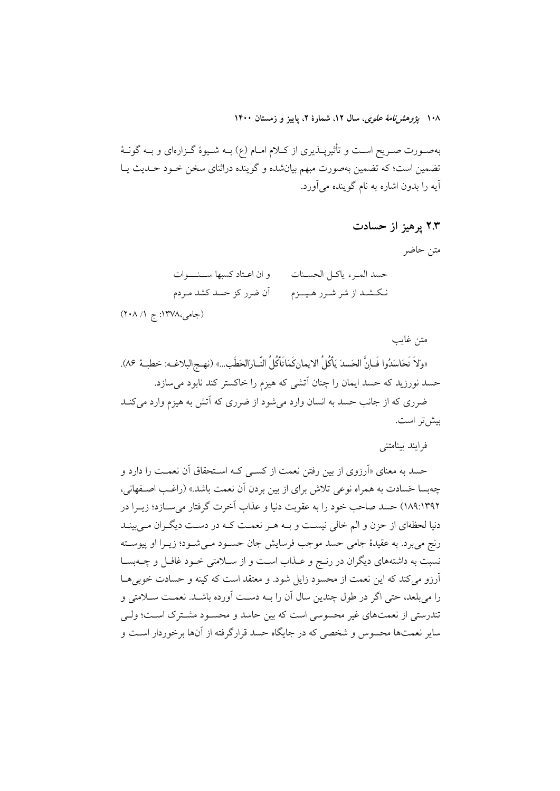۱۰۸ پژ*وهشرنامهٔ علوی*، سال ۱۲، شمارهٔ ۲، پاییز و زمستان ۱۴۰۰

بهصـورت صـريح اسـت و تأثيرپــذيرى از كــلام امــام (ع) بــه شــيوهٔ گــزارهاى و بــه گونــهٔ تضمین است؛ که تضمین بهصورت مبهم بیانشده و گوینده دراثنای سخن خـود حـدیث یـا آيه را بدون اشاره به نام گوينده مي آورد.

۲.۳ پرهيز از حسادت

متن حاضر

| و ان اعـتاد كسبها ســـنــــوات | حسد المرء ياكل الحسنات  |
|--------------------------------|-------------------------|
| أن ضرر كز حسد كشد مـردم        | نكشد از شر شـرر هـيــزم |
| (جامی،۱۳۷۸: ج ۲۰۸/۱)           |                         |

متن غايب «وَلاَ تَحَاسَدُوا فَـاِنَّ الحَسدَ يَأْكُلُ الايمانِكَمَاتَأْكُلُ النَّـارَالحَطَبِ...» (نهـج|لبلاغـه: خطبـهٔ ٨۶). حسد نورزید که حسد ایمان را چنان آتشی که هیزم را خاکستر کند نابود می سازد. ضرری که از جانب حسد به انسان وارد میشود از ضرری که آتش به هیزم وارد می کنــد بيش تر است.

فرايند بينامتني

حسد به معنای «آرزوی از بین رفتن نعمت از کسبی کـه اسـتحقاق آن نعمـت را دارد و چهبسا حَسادت به همراه نوعی تلاش برای از بین بردن آن نعمت باشد.» (راغب اصـفهانی، ١٨٩:١٣٩٢) حسد صاحب خود را به عقوبت دنيا و عذاب أخرت گرفتار مي سـازد؛ زيــرا در دنیا لحظهای از حزن و الم خالی نیست و بـه هـر نعمـت کـه در دسـت دیگـران مـیبینـد رنج میبرد. به عقیدهٔ جامی حسد موجب فرسایش جان حسـود مـیشـود؛ زیــرا او پیوســته نسبت به داشتههای دیگران در رنج و عـذاب اسـت و از سـلامتی خـود غافـل و چــهبســا آرزو میکند که این نعمت از محسود زایل شود. و معتقد است که کینه و حسادت خوبی ها را می بلعد، حتی اگر در طول چندین سال آن را بـه دسـت آورده باشـد. نعمـت سـلامتی و تندرستی از نعمتهای غیر محسوسی است که بین حاسد و محسـود مشـترک اسـت؛ ولـی سایر نعمتها محسوس و شخصی که در جایگاه حسد قرارگرفته از آنها برخوردار است و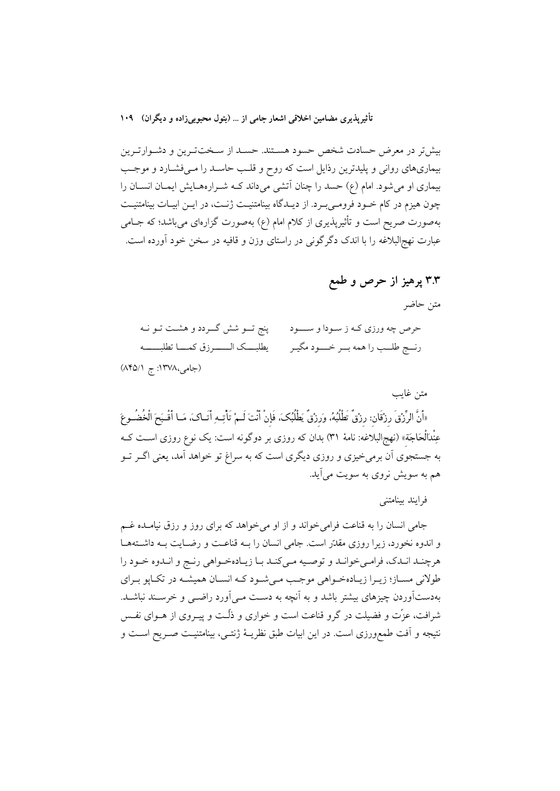بیشتر در معرض حسادت شخص حسود هستند. حسـد از سـختترین و دشـوارتـرین بیماریهای روانی و پلیدترین رذایل است که روح و قلب حاسـد را مـیفشـارد و موجـب بیماری او می شود. امام (ع) حسد را چنان آتشی میداند کـه شـرارههـایش ایمـان انسـان را چون هیزم در کام خـود فرومـیبـرد. از دیـدگاه بینامتنیـت ژنـت، در ایـن ابیـات بینامتنیـت بهصورت صریح است و تأثیرپذیری از کلام امام (ع) بهصورت گزارهای میباشد؛ که جــامی عبارت نهج|لبلاغه را با اندک دگرگونی در راستای وزن و قافیه در سخن خود آورده است.

۳.۳ پرهيز از حرص و طمع

متن حاضر

| حرص چه ورزی کـه ز سـودا و ســــود       پنج تـــو شش گـــردد و هشــت تــو نــه         |
|----------------------------------------------------------------------------------------|
| رنسج طلــب را همه بــر خــــود مگيـر ممسمى يطلبــــک الـــــــرزق کمــــا تطلبـــــــه |

(جامی،۱۳۷۸: ج ۸۴۵/۱)

متن غايب

«أَنَّ الرِّزْقَ رزْقَان: رزْقٌ تَطْلُبُهُ، وَرزْقٌ يَطْلُبُكَ، فَإِنْ أَنْتَ لَـمْ تَأْتِـهِ أَتَـاكَ، مَـا أَقْـبَحَ الْخُضُـوعَ عِنْدَالْحَاجَة» (نهجالبلاغه: نامهٔ ۳۱) بدان که روزی بر دوگونه است: یک نوع روزی اســت کــه به جستجوی آن برمی خیزی و روزی دیگری است که به سراغ تو خواهد آمد، یعنی اگــر تــو هم به سویش نروی به سویت میآید.

فرايند بينامتني

جامی انسان را به قناعت فرامی خواند و از او می خواهد که برای روز و رزق نیامـده غـم و اندوه نخورد، زیرا روزی مقدّر است. جامی انسان را بـه قناعـت و رضـایت بـه داشـتههـا هرچنـد انـدک، فرامـيخوانـد و توصـيه مـيکنـد بـا زيـادهخـواهي رنـج و انـدوه خـود را طولاني مسـاز؛ زيـرا زيـادهخـواهي موجـب مـيشـود كـه انسـان هميشـه در تكـاپو بـراي بهدستآوردن چیزهای بیشتر باشد و به آنچه به دست مـی|آورد راضــی و خرســند نباشــد. شرافت، عزّت و فضیلت در گرو قناعت است و خواری و ذلّـت و پیـروی از هــوای نفــس نتيجه و آفت طمعورزي است. در اين ابيات طبق نظريــهٔ ژنتــي، بينامتنيــت صــريح اســت و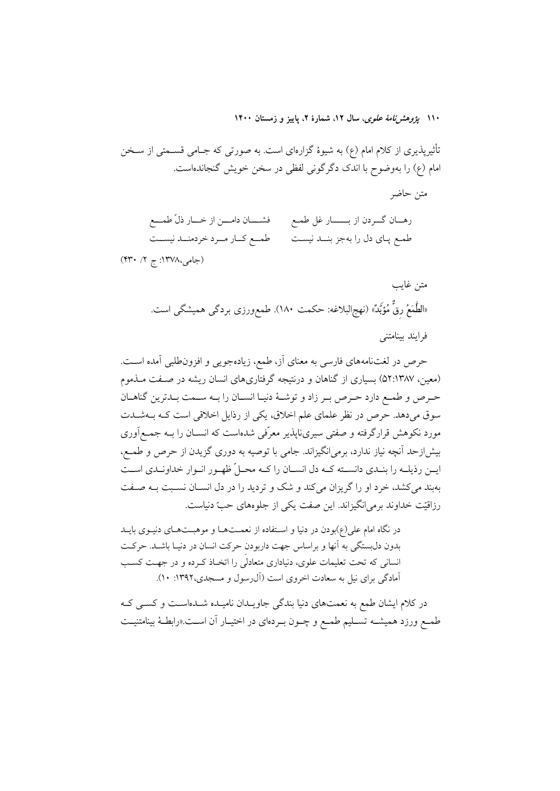۱۱۰ بی*ژوهش نامهٔ علوی*، سال ۱۲، شمارهٔ ۲، پاییز و زمستان ۱۴۰۰

متن حاضر

تأثیرپذیری از کلام امام (ع) به شیوهٔ گزارهای است. به صورتی که جـامی قســمتی از ســخن امام (ع) را بهوضوح با اندک دگرگونی لفظی در سخن خویش گنجاندهاست.

فشـــــان دامــــن از خــــار ذلّ طمــــع رهـــان گـــردن از بــــــــار غل طمــع طمــع كــار مــرد خردمنــد نيســت طمـع پـاي دل را بهجز بنـــد نيسـت

(جامی،۱۳۷۸: ج ۲/ ۴۳۰)

متن غايب «الطَّمَعُ رقٌ مُؤَبِّدٌ» (نهجالبلاغه: حکمت ١٨٠). طمعورزی بردگی همیشگی است. فرايند بينامتني

حرص در لغتنامههای فارسی به معنای آز، طمع، زیادهجویی و افزون $d$ لبی آمده اسـت. (معین، ۵۲:۱۳۸۷) بسیاری از گناهان و درنتیجه گرفتاریهای انسان ریشه در صفت مـذموم حرص و طمع دارد حـرص بـر زاد و توشـهٔ دنیـا انسـان را بـه سـمت بـدترین گناهـان سوق میدهد. حرص در نظر علمای علم اخلاق، یکی از رذایل اخلاقی است کـه بـهشـدت مورد نکوهش قرارگرفته و صفتی سیرینایذیر معرّفی شدهاست که انســان را بــه جمــعرآوری بیش|زحد آنچه نیاز ندارد، برمی|نگیزاند. جامی با توصیه به دوری گزیدن از حرص و طمع، ایــن رذیلــه را بنــدي دانســته كــه دل انســان را كــه محــلّ ظهــور انــوار خداونــدي اســت بهبند می کشد، خرد او را گریزان می کند و شک و تردید را در دل انســان نســبت بــه صــفت رزاقيّت خداوند برمي/نگيزاند. اين صفت يكي از جلوههاي حبّ دنياست.

در نگاه امام علی(ع)بودن در دنیا و استفاده از نعمتها و موهبتهای دنیـوی بایـد بدون دل بستگی به آنها و براساس جهت داربودن حرکت انسان در دنیـا باشـد. حرکـت انسانی که تحت تعلیمات علوی، دنیاداری متعادلی را اتخـاذ کـرده و در جهـت کسـب آمادگی برای نیل به سعادت اخروی است (آل رسول و مسجدی، ۱۳۹۲: ۱۰).

در کلام ایشان طمع به نعمتهای دنیا بندگی جاویـدان نامیـده شـدهاسـت و کسـی کـه طمـع ورزد همیشــه تســلیم طمــع و چــون بــردهای در اختیــار أن اســت.«رابطــهٔ بینامتنیــت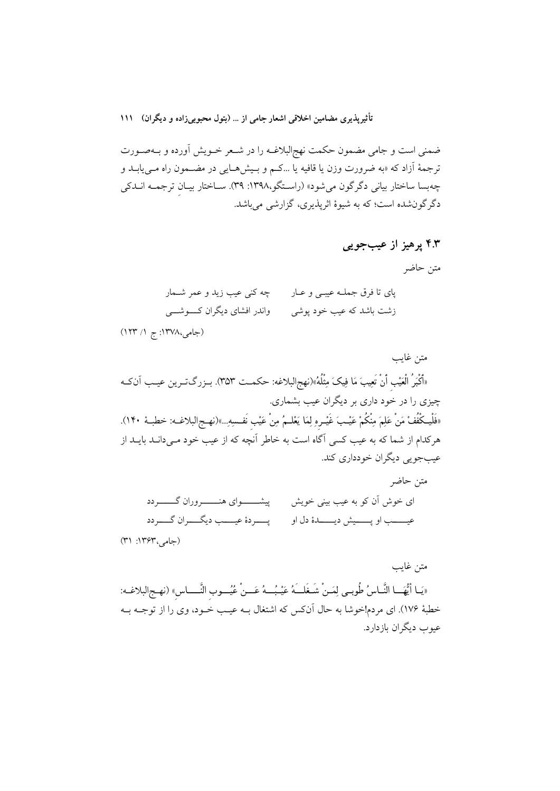ضمنی است و جامی مضمون حکمت نهج|لبلاغــه را در شــعر خــویش آورده و بــهصــورت ترجمهٔ آزاد که «به ضرورت وزن یا قافیه یا …کـم و بـیشهـایی در مضــمون راه مــییابــد و چهبسا ساختار بیانی دگرگون میشود» (راسـتگو،۱۳۹۸: ۳۹). سـاختار بیـان ترجمــه انــدکی دگرگونشده است؛ که به شیوهٔ اثرپذیری، گزارشی میباشد.

۴.۳ پرهيز از عيبجويي

متن حاضر

|                                 | پای تا فرق جملــه عیبــی و عــار        چه کنی عیب زید و عمر شــمار |
|---------------------------------|---------------------------------------------------------------------|
| واندر افشای دیگران کــــوشــــی | زشت باشد که عیب خود پوشی                                            |

(جامی،۱۳۷۸: ج ۱/ ۱۲۳)

متن غايب «أَكْبَرُ الْعَيْبِ أَنْ تَعِيبَ مَا فِيكَ مِثْلُهُ»(نهجالبلاغه: حكمـت ٣۵٣). بـزرگتـرين عيـب آنكـه چیزی را در خود داری بر دیگران عیب بشماری. «فَلْيـكْفُفْ مَنْ عَلِمَ مِنْكُمْ عَيْـبَ غَيْـرِهِ لِمَا يَعْلــمُ مِنْ عَيْب نَفـسِهِ...»(نهـج|لبلاغــه: خطبـهٔ ١۴٠). هرکدام از شما که به عیب کسی آگاه است به خاطر آنچه که از عیب خود مے دانـد بابـد از عیبجویی دیگران خودداری کند. متىن حاضه

متن غايب «يَـا أَيُّهَــا النَّـاسُ طُوبـي لِمَـنْ شَـغَلــَهُ عَيْـبُـــهُ عَــنْ عُيُــوبِ النَّــــاسِ» (نهـج|لبلاغــه: خطبهٔ ۱۷۶). ای مردم!خوشا به حال آنکس که اشتغال بــه عیــب خــود، وی را از توجــه بــه عيوب ديگران بازدارد.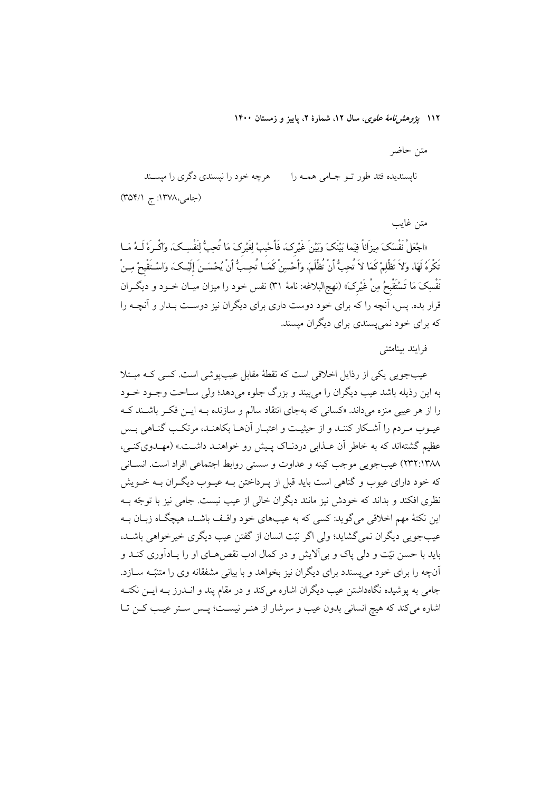۱۱۲ *یژوهشرنامهٔ علوی*، سال ۱۲، شمارهٔ ۲، پاییز و زمستان ۱۴۰۰

متن حاضر هرچه خود را نیسندی دگری را میسـند نايسنديده فتد طور تبو جبامي هميه را (جامی،۱۳۷۸: ج ۳۵۴/۱)

متن غابب «اجْعَلْ نَفْسَكَ مِيزَاناً فِيَما بَيْنَكَ وَبَيْنَ غَيْرِكَ، فَأَحْببْ لِغَيْرِكَ مَا تُحِبُّ لِنَفْسِكَ، وَاكْـرَهْ لَــهُ مَــا تَكْرِهُ لَهَا، وَلاَ تَظْلِمْ كَمَا لاَ تُحِبُّ أَنْ تُظْلَمَ، وَأَحْسِنْ كَمَــا تُحِــبُّ أَنْ يُحْسَــنَ إلَيْـكَ، واسْـتَقْبحْ مِــنْ نَفْسِکَ مَا تَسْتَقْبِحُ مِنْ غَیْرکَ» (نهجالبلاغه: نامهٔ ۳۱) نفس خود را میزان میــان خــود و دیگــران قرار بده. پس، آنچه را که برای خود دوست داری برای دیگران نیز دوست بـدار و آنچــه را که برای خود نمی پسندی برای دیگران میسند.

فرايند بينامتني

عیبجویی یکی از رذایل اخلاقی است که نقطهٔ مقابل عیبیوشی است. کسی کـه مبـتلا به اين رذيله باشد عيب ديگران را مي بيند و بزرگ جلوه مي دهد؛ ولي ســاحت وجــود خــود را از هر عیبی منزه میداند. «کسانی که بهجای انتقاد سالم و سازنده بـه ایــن فکــر باشــند کــه عیـوب مـردم را اَشـکار کننـد و از حیثیـت و اعتبـار اَنهـا بکاهنـد، مرتکـب گنـاهی بـس عظیم گشتهاند که به خاطر آن عــذابی دردنــاک پــیش رو خواهنــد داشــت.» (مهــدویکنــی، ٢٣٢:١٣٨٨) عيب جويبي موجب كينه و عداوت و سستي روابط اجتماعي افراد است. انســاني که خود دارای عیوب و گناهی است باید قبل از پـرداختن بـه عیـوب دیگـران بـه خــویش نظری افکند و بداند که خودش نیز مانند دیگران خالی از عیب نیست. جامی نیز با توجّه بـه این نکتهٔ مهم اخلاقی می گوید: کسی که به عیبهای خود واقـف باشـد، هیچگـاه زبـان بـه عیبجویی دیگران نمی گشاید؛ ولی اگر نیّت انسان از گفتن عیب دیگری خیرخواهی باشـد. باید با حسن نیّت و دلی پاک و بی اَلایش و در کمال ادب نقص هـای او را پـادآوری کنـد و آنچه را برای خود می پسندد برای دیگران نیز بخواهد و با بیانی مشفقانه وی را متنبّـه سـازد. جامی به یوشیده نگاهداشتن عیب دیگران اشاره می کند و در مقام پند و انــدرز بــه ایــن نکتــه اشاره مي كند كه هيچ انساني بدون عيب و سرشار از هنـر نيسـت؛ پـس سـتر عيـب كـن تـا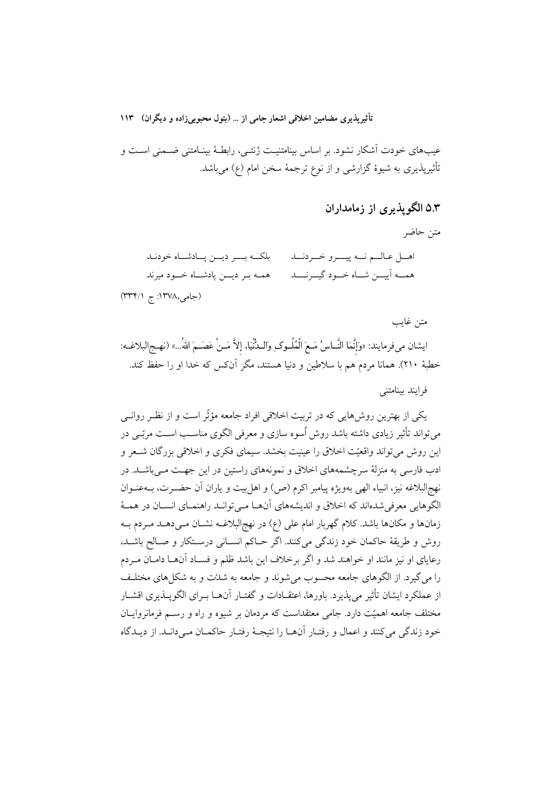عیبهای خودت آشکار نشود. بر اساس بینامتنیت ژنتـی، رابطـهٔ بینـامتنی ضـمنی اسـت و تأثیریذیری به شیوهٔ گزارشی و از نوع ترجمهٔ سخن امام (ع) می باشد.

# ۵.۳ الگویذیری از زمامداران

متن حاضر

اهــل عـالــم نــه پيــــرو خــردنـــد بلكــه بـــر ديـــن يــادشــاه خودنـد همـه بـر ديـــن پادشـــاه خـــود ميرند همسه آییسن شساه خسود گیسرنسسد

(جامی،۱۳۷۸: ج (۳۳۴/۱)

متن غايب

ايشان مي فرمايند: «وَإِنَّمَا النَّــاسُ مَــعَ الْمُلُــوكِ والــدُّنْيَا، إلاَّ مَــنْ عَصَــمَ اللهُ...» (نهـجالبلاغــه: خطبهٔ ۲۱۰). همانا مردم هم با سلاطین و دنیا هستند، مگر آنکس که خدا او را حفظ کند.

فرایند پینامتنے

یکی از بهترین روشهایی که در تربیت اخلاقی افراد جامعه مؤثّر است و از نظـر روانـی می تواند تأثیر زیادی داشته باشد روش اُسوه سازی و معرفی الگوی مناسـب اسـت مربّــی در این روش می تواند واقعیّت اخلاق را عینیت بخشد. سیمای فکری و اخلاقی بزرگان شـعر و ادب فارسی به منزلهٔ سرچشمههای اخلاق و نمونههای راستین در این جهت مـی باشـد. در نهجالبلاغه نيز، انبياء الهي بهويژه پيامبر اكرم (ص) و اهل بيت و ياران أن حضـرت، بــهعنــوان الگوهایی معرفی شدهاند که اخلاق و اندیشههای آنهـا مـیتوانـد راهنمـای انسـان در همـهٔ زمانها و مکانها باشد. کلام گهربار امام علی (ع) در نهج البلاغـه نشــان مــی۵هــد مــردم بــه روش و طريقة حاكمان خود زندگي مي كنند. اگر حـاكم انسـاني درسـتكار و صـالح باشـد، رعایای او نیز مانند او خواهند شد و اگر برخلاف این باشد ظلم و فسـاد آنهـا دامـان مـردم را می گیرد. از الگوهای جامعه محسوب می شوند و جامعه به شدّت و به شکل های مختلـف از عملكرد ايشان تأثير مي پذيرد. باورها، اعتقـادات و گفتـار آنهـا بـراي الگويــذيري اقشــار مختلف جامعه اهمیّت دارد. جامی معتقداست که مردمان بر شیوه و راه و رســم فرمانروایــان خود زندگی می کنند و اعمال و رفتـار آنهـا را نتيجـهٔ رفتـار حاکمـان مـی(دانـد. از ديــدگاه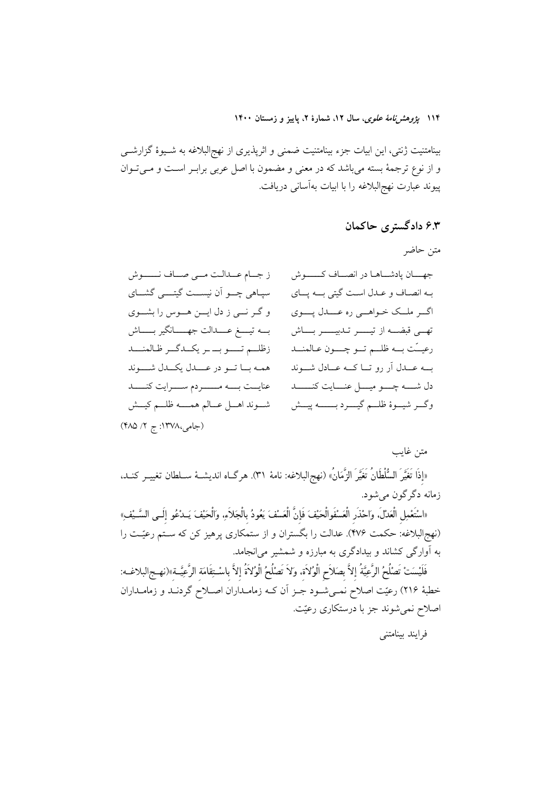۱۱۴ بیر*وهش نامهٔ علوی*، سال ۱۲، شمارهٔ ۲، پاییز و زمستان ۱۴۰۰

بینامتنیت ژنتی، این ابیات جزء بینامتنیت ضمنی و اثرپذیری از نهج|لبلاغه به شـیوهٔ گزارشــی و از نوع ترجمهٔ بسته میباشد که در معنی و مضمون با اصل عربی برابـر اسـت و مـیتـوان پیوند عبارت نهج|لبلاغه را با ابیات بهآسانی دریافت.

# ۶.۳ دادگستری حاکمان

# متن حاضر

| ز جــام عــدالـت مــى صــاف نـــــوش            | جهـان پادشــاهـا در انصــاف كـــــوش                       |
|-------------------------------------------------|------------------------------------------------------------|
| سپاهی چـــو اَن نیســـت گیتـــــی گشـــای       | بـه انصـاف و عـدل اسـت گیتی بــه پــای                     |
| و گـر نـــي ز دل ايـــن هـــوس را بشـــوي       | اگــر ملــک خــواهـــي ره عــــدل پـــــوي                 |
| بــه تيــــغ عـــــدالت جهــــــانگير بــــــاش | تهــي قبضــه از تيـــــر تـدبيـــــر بــــاش               |
| زظلم تـــو بــ ـر يكــدگــر ظـالمنـــد          | رعيــَت بـــه ظلـــم تـــو چـــــون عــالمنـــد            |
| همه باتو در عملل يكمل شوند                      | بــه عــدل اَر رو تــا كــه عــادل شــوند                  |
| عنايــت بـــه مــــــردم ســـرايت كنــــد       | دل شـــــه چــــو ميــــل عنـــــايت كنـــــــد            |
| شوند اهل عبالم همسه ظلم كيسش                    | وگـــر شيــــوهٔ ظلــــم گيـــــــرد بـــــــــــه پيــــش |
| (جامی، ۱۳۷۸: ج ۲/ ۴۸۵)                          |                                                            |

# متن غايب

«إذَا تَغَيَّرَ السُّلْطَانُ تَغَيَّرَ الزَّمَانُ» (نهج|لبلاغه: نامهٔ ٣١). هرگIه انديشـهٔ ســلطان تغييــر كنــد، زمانه دگر گون مې شود.

«اسْتَعْمِل الْعَدْلَ، وَاحْذَر الْعَسْفَوالْحَيْفَ فَإِنَّ الْعَسْفَ يَعُودُ بِالْجَلاَءِ، وَالْحَيْفَ يَــدْعُو إلَــى السَّــيْفِ» (نهج|لبلاغه: حکمت ۴۷۶). عدالت را بگستران و از ستمکاری پرهیز کن که ســتم رعیّــت را به آوارگی کشاند و بیدادگری به مبارزه و شمشیر می انجامد.

فَلَيْسَتْ تَصْلُحُ الرَّعِيَّةُ إلاَّ بِصَلاَحِ الْوُلاَة، وَلاَ تَصْلُحُ الْوُلاَةُ إلاَّ باسْـتِقَامَة الرَّعِيَّـة»(نهـج|لبلاغــه: خطبهٔ ۲۱۶) رعیّت اصلاح نمــیشــود جــز اّن کــه زمامــداران اصــلاح گردنــد و زمامــداران اصلاح نمیشوند جز با درستکاری رعیّت.

فرایند پینامتنی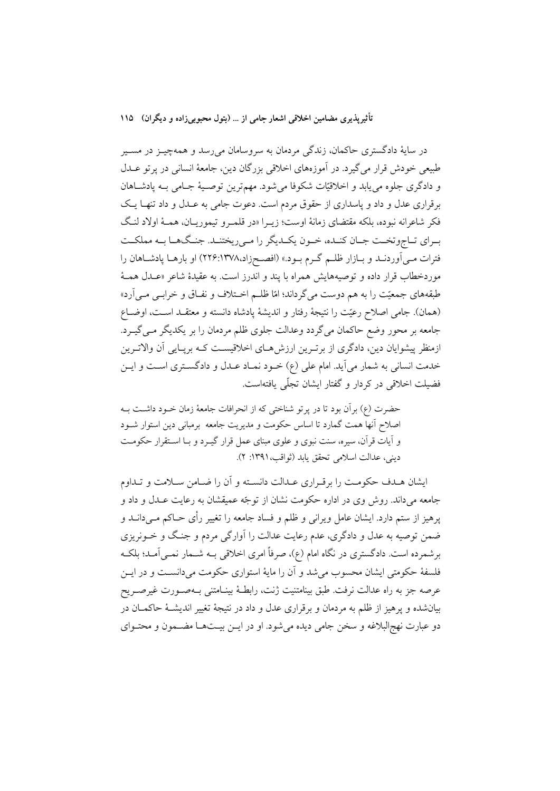در سايهٔ دادگستري حاكمان، زندگي مردمان به سروسامان ميرسد و همهچيــز در مســير طبیعی خودش قرار می گیرد. در آموزههای اخلاقی بزرگان دین، جامعهٔ انسانی در پر تو عــدل و دادگری جلوه می یابد و اخلاقیّات شکوفا میشود. مهمترین توصیهٔ جـامی بـه پادشـاهان برقراری عدل و داد و پاسداری از حقوق مردم است. دعوت جامی به عـدل و داد تنهـا یـک فكر شاعرانه نبوده، بلكه مقتضاى زمانهٔ اوست؛ زيـرا «در قلمـرو تيموريـان، همـهٔ اولاد لنـگ بـراي تـاجوتخـت جـان كنـده، خـون يكـديگر را مـىريختنـد. جنـگـهـا بـه مملكـت فترات مـی]وردنــد و بــازار ظلــم گــرم بــود.» (افصــحزاد،١٣٧٨،١٣٧٨) او بارهــا پادشــاهان را موردخطاب قرار داده و توصیههایش همراه با پند و اندرز است. به عقیدهٔ شاعر «عــدل همــهٔ طبقههای جمعیّت را به هم دوست میگرداند؛ امّا ظلـم اخـتلاف و نفـاق و خرابـی مـی اَرد» (همان). جامي اصلاح رعيّت را نتيجهٔ رفتار و انديشهٔ پادشاه دانسته و معتقــد اســت، اوضــاع جامعه بر محور وضع حاکمان میگردد وعدالت جلوی ظلم مردمان را بر یکدیگر مـیگیـرد. ازمنظر پیشوایان دین، دادگری از برتـرین ارزش۵مـای اخلاقیسـت کـه برپـایی آن والاتـرین خدمت انسانی به شمار میآید. امام علی (ع) خـود نمـاد عـدل و دادگسـتری اسـت و ايـن فضيلت اخلاقي در كردار و گفتار ايشان تجلّي يافتهاست.

حضرت (ع) برأن بود تا در پرتو شناختی که از انحرافات جامعهٔ زمان خـود داشـت بــه اصلاح أنها همت گمارد تا اساس حکومت و مدیریت جامعه برمبانی دین استوار شـود و آیات قرآن، سیره، سنت نبوی و علوی مبنای عمل قرار گیـرد و بـا اسـتقرار حکومـت ديني، عدالت اسلامي تحقق يابد (ثواقب، ١٣٩١: ٢).

ایشان هـدف حکومـت را برقـراری عـدالت دانسـته و آن را ضـامن سـلامت و تـداوم جامعه میداند. روش وی در اداره حکومت نشان از توجّه عمیقشان به رعایت عـدل و داد و یرهیز از ستم دارد. ایشان عامل ویرانی و ظلم و فساد جامعه را تغییر رأی حــاکم مــی(دانــد و ضمن توصیه به عدل و دادگری، عدم رعایت عدالت را آوارگی مردم و جنگ و خــونریزی برشمرده است. دادگستری در نگاه امام (ع)، صرفاً امری اخلاقی بــه شــمار نمــی[مــد؛ بلکــه فلسفهٔ حکومتی ایشان محسوب می شد و آن را مایهٔ استواری حکومت می دانسـت و در ایــن عرصه جز به راه عدالت نرفت. طبق بینامتنیت ژنت، رابطـهٔ بینــامتنـی بــهصــورت غیرصــریح بیانشده و پرهیز از ظلم به مردمان و برقراری عدل و داد در نتیجهٔ تغییر اندیشـهٔ حاکمـان در دو عبارت نهج|لبلاغه و سخن جامی دیده میشود. او در ایــن بیــتهــا مضــمون و محتــوای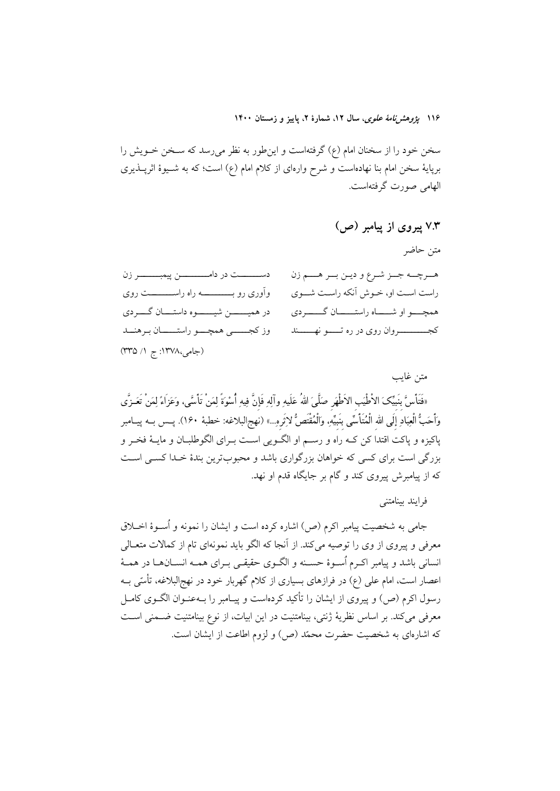۱۱۶ بیر*وهش نامهٔ علوی*، سال ۱۲، شمارهٔ ۲، پاییز و زمستان ۱۴۰۰

سخن خود را از سخنان امام (ع) گرفتهاست و اینطور به نظر میرسد که سـخن خــویش را برپایهٔ سخن امام بنا نهادهاست و شرح وارهای از کلام امام (ع) است؛ که به شـیوهٔ اثرپــذیری الهامی صورت گرفتهاست.

### متن غايب

«فَتَأْسَّ بنَبيِّكَ الأطْيَب الأطْهَر صَلَّىَ اللهُ عَلَيهِ وآلِهِ فَإِنَّ فِيهِ أُسْوَةً لِمَنْ تَأْسَّى، وَعَزَاءً لِمَنْ تَعَـزَّى وَأَحَبُّ الْعِبَادِ إِلَى الله الْمُتَأَسِّى بنَبيِّهِ. وَالْمُقْتَصُّ لاِثَروِ...» (نهجالبلاغه: خطبهٔ ١۶۰). يــس بــه پيــامبر .<br>پاکیزه و پاکت اقتدا کن کــه راه و رســـم او الگــویی اســت بــرای الگوطلبــان و مایــهٔ فخــر و بزرگی است برای کسی که خواهان بزرگواری باشد و محبوبترین بندهٔ خـدا کسـی اسـت که از پیامبرش پیروی کند و گام بر جایگاه قدم او نهد.

فرابند ببنامتني

جامی به شخصیت پیامبر اکرم (ص) اشاره کرده است و ایشان را نمونه و اُســوهٔ اخــلاق معرفی و پیروی از وی را توصیه میکند. از آنجا که الگو باید نمونهای تام از کمالات متعـالی انسانی باشد و پیامبر اکـرم اُسـوهٔ حسـنه و الگــوی حقیقــی بــرای همــه انســانهــا در همــهٔ اعصار است، امام علی (ع) در فرازهای بسیاری از کلام گهربار خود در نهج|لبلاغه، تأسّی بـه رسول اکرم (ص) و پیروی از ایشان را تأکید کردهاست و پیـامبر را بــهعنــوان الگــوی کامــل معرفی میکند. بر اساس نظریهٔ ژنتی، بینامتنیت در این ابیات، از نوع بینامتنیت ضـمنی اسـت که اشارهای به شخصیت حضرت محمّد (ص) و لزوم اطاعت از ایشان است.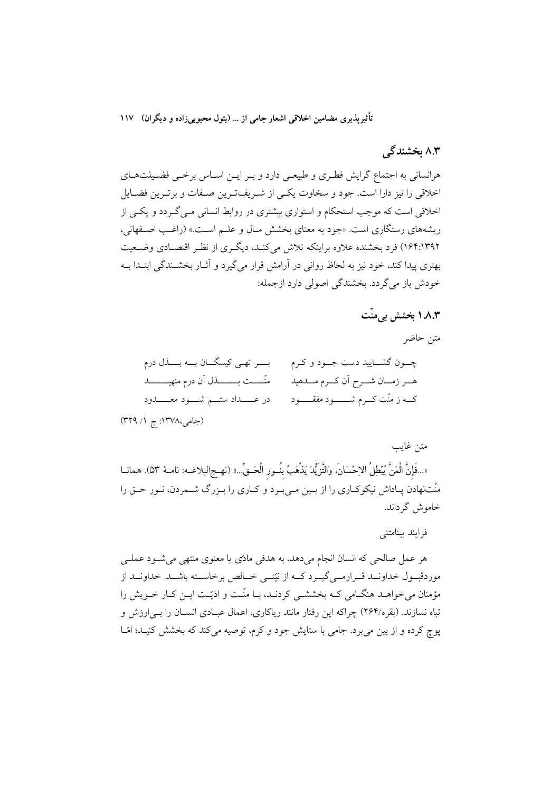### ۸.۳ بخشندگی

هرانسانی به اجتماع گرایش فطـری و طبیعـی دارد و بـر ایــن اسـاس برخــی فضــیلتهــای اخلاقی را نیز دارا است. جود و سخاوت یکبی از شـریفترین صـفات و برتـرین فضـایل اخلاقی است که موجب استحکام و استواری بیشتری در روابط انسانی مـی گـردد و یکـی از ریشههای رستگاری است. «جود به معنای بخشش مـال و علـم اسـت.» (راغـب اصـفهانی، ۱۶۴:۱۳۹۲) فرد بخشنده علاوه براینکه تلاش می کنـد، دیگـری از نظـر اقتصـادی وضـعیت بهتری پیدا کند، خود نیز به لحاظ روانی در اَرامش قرار میگیرد و اَثــار بخشــندگی ابتــدا بــه خودش باز می گردد. بخشندگی اصولی دارد ازجمله:

# ۸٫۳ نخشش به منّت

متن حاضر بو تھی کیسگان بے بنال درم چـــون گشــــاييد دست جـــود و كــرم منّــــت بـــــــــــذل آن درم منهيــــــــــد هــر زمــان شــرح اَن كــرم مـــدهيد کــه ز منّت کـــرم شــــــــــود مفقـــــــود (جامی،۱۳۷۸: ج ۱/ ۳۲۹)

#### متن غايب

«...فَإِنَّ الْمَنَّ يُبْطِلُ الاِحْسَانَ، وَالتَّزَيُّدَ يَذْهَبُ بِنُـورِ الْحَـقِّ...» (نهـج|لبلاغـه: نامـهٔ ٥٣). همانــا منّتنهادن پـاداش نيكوكـاري را از بـين مـي بـرد و كـاري را بـزرگ شــمردن، نــور حــق را خاموش گرداند.

# فرايند بينامتني

هر عمل صالحی که انسان انجام میدهد، به هدفی مادّی یا معنوی منتهی میشـود عملـی موردقبــول خداونــد قــرارمــي گيــرد كــه از نيّتــي خــالص برخاســته باشــد. خداونــد از مؤمنان می خواهـد هنگــامی کــه بخششــی کردنــد، بــا منّــت و اذیّــت ایــن کــار خــویش را تباه نسازند. (بقره/۲۶۴) چراکه این رفتار مانند ریاکاری، اعمال عبـادی انســان را بـی|رزش و پوچ کرده و از بین می برد. جامی با ستایش جود و کرم، توصیه میکند که بخشش کنیـد؛ امّـا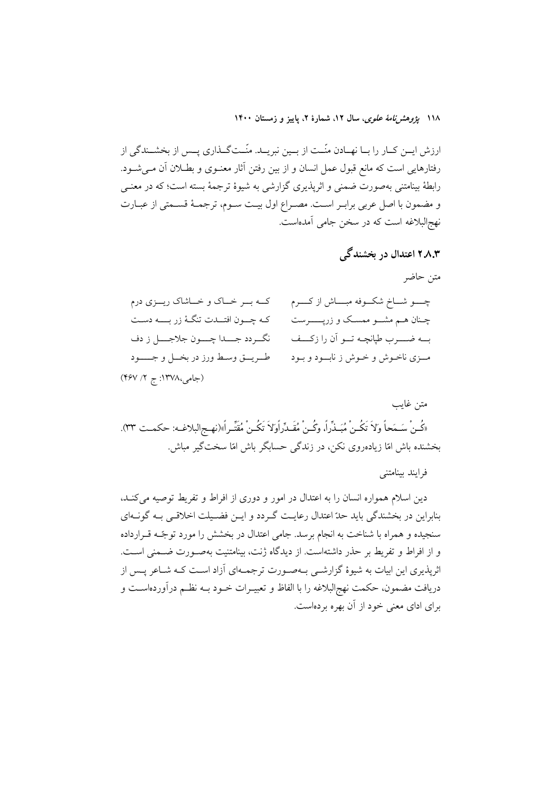۱۱۸ بژ*وهش نامهٔ علوی*، سال ۱۲، شمارهٔ ۲، پاییز و زمستان ۱۴۰۰

ارزش ایــن کــار را بــا نهــادن منّــت از بــین نبریــد. منّــتگــذاری پــس از بخشــندگی از رفتارهایی است که مانع قبول عمل انسان و از بین رفتن آثار معنـوی و بطــلان آن مــی شــود. رابطهٔ بینامتنی بهصورت ضممنی و اثرپذیری گزارشی به شیوهٔ ترجمهٔ بسته است؛ که در معنــی و مضمون با اصل عربي برابـر اسـت. مصـراع اول بيـت سـوم، ترجمـهٔ قسـمتى از عبـارت نهج|لبلاغه است که در سخن جامی آمدهاست.

# ۲.۸.۳ اعتدال در پخشندگی

متن حاضر

| کــه بــر خــاک و خــاشاک ريـــزي درم        | چــــو شـــاخ شکـــوفه مبـــــاش از کـــــرم  |
|----------------------------------------------|-----------------------------------------------|
| کـه چـــون افتـــدت تنگــهٔ زر بـــــه دســت | چـنان هــم مشـــو ممســک و زرپـــــــرست      |
| نگــردد جــــدا چــــون جلاجــــل ز دف       | بــه ضـــــــرب طپانچــه تــــو أن را زكــــف |
| طريق وسط ورز در بخــل و جـــــود             | مـزی ناخـوش و خـوش ز نابــود و بـود           |
| (جامی،۱۳۷۸: ج ۲/ ۴۶۷)                        |                                               |

متن غايب «كُـنْ سَـمَحاً وَلاَ تَكُـنْ مُبَـذِّراً، وكُـنْ مُقَـدِّراًوَلاَ تَكُـنْ مُقَتِّـراً»(نهـج|لبلاغـه: حكمـت ٣٣). بخشنده باش امّا زیادهروی نکن، در زندگی حسابگر باش امّا سختگیر مباش.

فرايند بينامتني

دین اسلام همواره انسان را به اعتدال در امور و دوری از افراط و تفریط توصیه میکند، بنابراین در بخشندگی باید حدّ اعتدال رعایت گردد و ایـن فضـیلت اخلاقـی بـه گونـهای سنجیده و همراه با شناخت به انجام برسد. جامی اعتدال در بخشش را مورد توجّـه قــرارداده و از افراط و تفریط بر حذر داشتهاست. از دیدگاه ژنت، بینامتنیت بهصـورت ضـمنی اسـت. اثرپذیری این ابیات به شیوهٔ گزارشـی بـهصـورت ترجمـهای آزاد اسـت کـه شـاعر پـس از دریافت مضمون، حکمت نهج|لبلاغه را با الفاظ و تعبیــرات خــود بــه نظــم درآوردهاســت و برای ادای معنی خود از آن بهره بردهاست.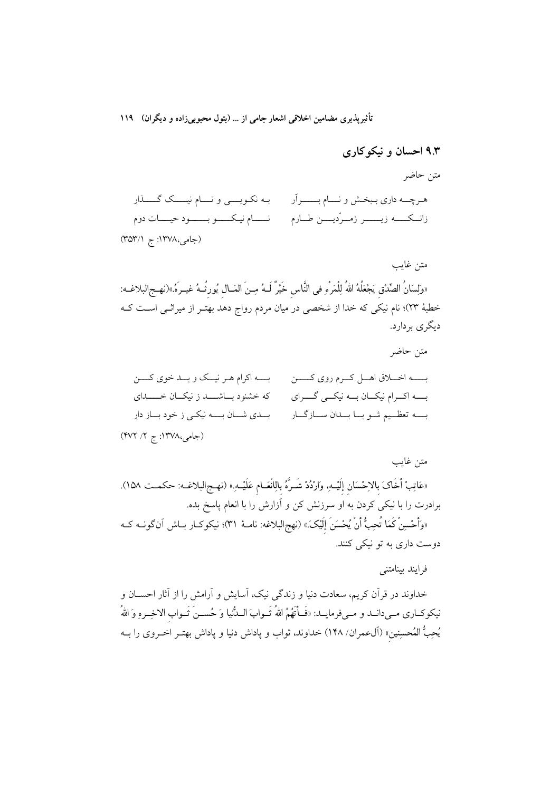# ۹.۳ احسان و نیکوکاری

متن حاضر

متن غايب

بـه نكـويــــي و نــــام نيـــــك گــــــذار هـرچـــه داري بـبخـش و نــــام بـــــــراَر زانــكـــــه زيـــــــر زمــرّديــــن طــارم نــــام نيـكــــو بــــــود حيــــات دوم

(جامی،۱۳۷۸: ج ۳۵۳/۱)

«وَلِسَانُ الصِّدْقِ يَجْعَلُهُ اللهُ لِلْمَرْءِ في النَّاس خَيْرٌ لَــهُ مِــنَ المَــال يُورثُــهُ غيــرهُ.»(نهــج|لبلاغــه: خطبهٔ ۲۳)؛ نام نیکی که خدا از شخصی در میان مردم رواج دهد بهتـر از میراثـی اسـت کــه دیگری بردارد.

متن غايب

«عَاتِبْ أَخَاكَ بالاحْسَان إلَيْـــهِ. وَارْدُدْ شَــرَّهُ بالِانْعَــام عَلَيْــهِ.» (نهــج|لبلاغــه: حكمــت ١٥٨). برادرت را با نیکی کردن به او سرزنش کن و آزارش را با انعام پاسخ بده. «وَأَحْسِنْ كَمَا تُحِبُّ أَنْ يُحْسَنَ إلَيْكَ.» (نهج|لبلاغه: نامـهٔ ٣١)؛ نيكوكـار بــاش آنگونــه كــه دوست داري به تو نيکي کنند.

فرايند بينامتني

خداوند در قرآن کریم، سعادت دنیا و زندگی نیک، آسایش و آرامش را از آثار احســان و نيكوكـاري مـيدانــد و مـيفرمايــد: «فَـأتَهُمُ اللهُ تَــوابَ الــدُّنيا وَ حُســنَ تَــواب الاخِــرهِ وَ اللهُ يُحِبُّ المُحسِنِينِ» (آل0عمران/ ١۴٨) خداوند، ثواب و پاداش دنيا و پاداش بهتـر اخــروى را بــه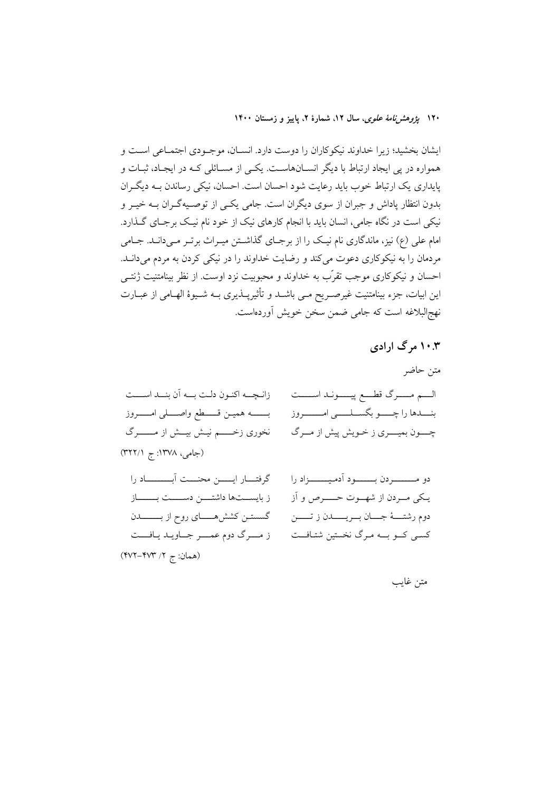۱۲۰ ي*ژوهشنامهٔ علوی*، سال ۱۲، شمارهٔ ۲، پاييز و زمستان ۱۴۰۰

ایشان بخشید؛ زیرا خداوند نیکوکاران را دوست دارد. انسـان، موجـودی اجتمـاعی اسـت و همواره در پی ایجاد ارتباط با دیگر انسـانهاسـت. یکـی از مسـائلی کـه در ایجـاد، ثبـات و پایداری یک ارتباط خوب باید رعایت شود احسان است. احسان، نیکی رساندن بـه دیگـران بدون انتظار پاداش و جبران از سوی دیگران است. جامی یکسی از توصـیهگـران بــه خیــر و نیکی است در نگاه جامی، انسان باید با انجام کارهای نیک از خود نام نیک برجـای گـذارد. امام علی (ع) نیز، ماندگاری نام نیک را از برجـای گذاشـتن میـراث برتـر مـیدانـد. جـامی مردمان را به نیکوکاری دعوت میکند و رضایت خداوند را در نیکی کردن به مردم میدانــد. احسان و نیکوکاری موجب تقرّب به خداوند و محبوبیت نزد اوست. از نظر بینامتنیت ژنتــی این ابیات، جزء بینامتنیت غیرصـریح مـی باشــد و تأثیرپــذیری بــه شــیوهٔ الهــامی از عبــارت نهج البلاغه است كه جامى ضمن سخن خويش أوردهاست.

# ۱۰.۳ مرگ ارادی

گسستــن كشش&ــــــای روح از بـــــــــــدن دوم رشتــــهٔ جـــــان بـــريـــــــدن ز تـــــــن ز مــرگ دوم عمــر جــاويـد يـافــت کسی کــو بـــه مـرگ نخستین شتـافــت (همان: ج ۲/ ۴۷۳–۴۷۲)

# متن غايب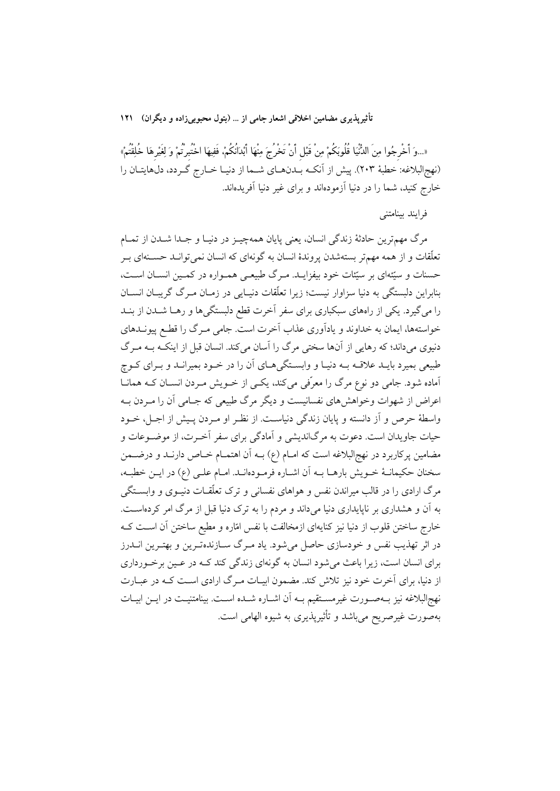«...وَ أَخْرِجُوا مِنَ الدُّنْيَا قُلُوبَكُمْ مِنْ قَبْل أَنْ تَخْرُجَ مِنْهَا أَبْدَانُكُمْ، فَفِيهَا اخْتُبرْتُمْ وَ لِغَيْرهَا خُلِقْتُمْ» (نهج البلاغه: خطبهٔ ٢٠٣). پیش از آنکـه بـدنهـای شـما از دنیـا خـارج گـردد، دلهایتـان را خارج کنید، شما را در دنیا آزمودهاند و برای غیر دنیا آفریدهاند.

# فرايند بينامتني

مرگ مهمترین حادثهٔ زندگی انسان، یعنی پایان همهچیـز در دنیـا و جـدا شــدن از تمــام تعلّقات و از همه مهمتر بستهشدن پروندهٔ انسان به گونهای که انسان نمیتوانـد حسـنهای بـر حسنات و سیّئهای بر سیّئات خود بیفزایــد. مــرگ طبیعــی همــواره در کمــین انســان اســت، بنابراین دلبستگی به دنیا سزاوار نیست؛ زیرا تعلّقات دنیـایی در زمـان مـرگ گریبـان انســان را میگیرد. یکی از راههای سبکباری برای سفر آخرت قطع دلبستگیها و رهـا شـدن از بنـد خواستهها، ایمان به خداوند و یادآوری عذاب آخرت است. جامی مـرگ را قطـع پیونــدهای دنیوی می داند؛ که رهایی از آنها سختی مرگ را آسان می کند. انسان قبل از اینکـه بــه مــرگ طبیعی بمیرد بایــد علاقــه بــه دنیــا و وابســتگی هــای آن را در خــود بمیرانــد و بــرای کــوچ آماده شود. جامی دو نوع مرگ را معرّفی میکند، یک<sub>حی</sub> از خـویش مـردن انســان کــه همانــا اعراض از شهوات وخواهش های نفسانیست و دیگر مرگ طبیعی که جـامی آن را مـردن بــه واسطهٔ حرص و اَز دانسته و پایان زندگی دنیاست. از نظر او مـردن پـیش از اجـل، خــود حیات جاویدان است. دعوت به مرگاندیشی و آمادگی برای سفر آخـرت، از موضـوعات و مضامین پرکاربرد در نهج|لبلاغه است که امــام (ع) بــه اَن اهتمــام خــاص دارنــد و درضــمن سخنان حکیمانـهٔ خــویش بارهــا بــه اَن اشــاره فرمــودهانــد. امــام علــی (ع) در ایــن خطبــه، مرگ ارادی را در قالب میراندن نفس و هواهای نفسانی و ترک تعلّقـات دنیــوی و وابســتگی به آن و هشداری بر ناپایداری دنیا می داند و مردم را به ترک دنیا قبل از مرگ امر کردهاست. خارج ساختن قلوب از دنیا نیز کنایهای ازمخالفت با نفس امّاره و مطیع ساختن آن اسـت کــه در اثر تهذیب نفس و خودسازی حاصل میشود. یاد مـرگ ســازندهتـرین و بهتـرین انــدرز برای انسان است، زیرا باعث میشود انسان به گونهای زندگی کند کـه در عـین برخـورداری از دنیا، برای آخرت خود نیز تلاش کند. مضمون ابیـات مـرگ ارادی اسـت کـه در عبـارت نهج|لبلاغه نیز بـهصـورت غیرمسـتقیم بـه آن اشـاره شـده اسـت. بینامتنیـت در ایــن ابیــات بهصورت غیرصریح میباشد و تأثیرپذیری به شیوه الهامی است.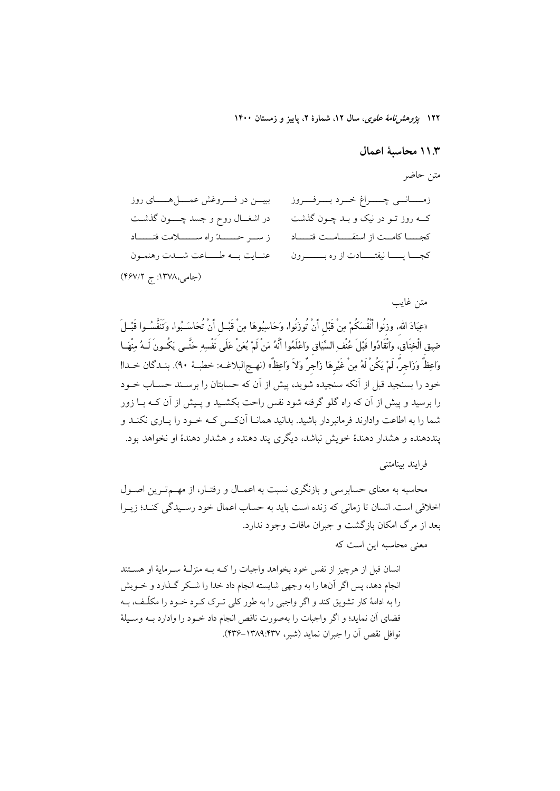۱۲۲ *یژوهشرنامهٔ علوی*، سال ۱۲، شمارهٔ ۲، پاییز و زمستان ۱۴۰۰

### ١١.٣ محاسىة اعمال

#### متن حاضر

| ببيـــن در فــــــروغش عمــــــل هــــــــاى روز | زمــــانــي چــــراغ خــرد بـــرفـــروز          |
|--------------------------------------------------|--------------------------------------------------|
| در اشغــال روح و جسد چــــون گذشــت              | کــه روز تــو در نيک و بــد چــون گذشت           |
|                                                  | كجـــا كامــت از استقـــامــت فتـــاد            |
| عنايت به طاعت شدت رهنمون                         | كجـــا پـــــا نيفتــــــادت از ره بـــــــــرون |
| (جامی،۱۳۷۸: ج ۴۶۷/۲)                             |                                                  |

متن غايب «عبَادَ الله، وزِنُوا أَنْفُسَكُمْ مِنْ قَبْلِ أَنْ تُوزِنُوا، وَحَاسِبُوهَا مِنْ قَبْـلِ أَنْ تُحَاسَـبُوا، وَتَنَفَّسُـوا قَبْـلَ ضِيق الْخِنَاقِ، وَانْقَادُوا قَبْلَ عُنْفِ السِّيَاقِ وَاعْلَمُوا أَنَّهُ مَنْ لَمْ يُعَنْ عَلَى َنْفْسِهِ حَتَّـى يَكُـونَ لَـهُ مِنْهَـا وَاعِظٌ وَزَاجِرٌ، لَمْ يَكُنْ لَهُ مِنْ غَيْرِهَا زَاجِرٌ وَلاَ وَاعِظٌ» (نهـج|لبلاغــه: خطبــهٔ ٩٠). بنــدگان خــدا! خود را بسنجید قبل از آنکه سنجیده شوید، پیش از آن که حسابتان را برسـند حســاب خــود را برسید و پیش از آن که راه گلو گرفته شود نفس راحت بکشـید و پـیش از آن کـه بــا زور شما را به اطاعت وادارند فرمانبردار باشید. بدانید همانــا آنکـس کــه خــود را پــاری نکنــد و ينددهنده و هشدار دهندهٔ خویش نباشد، دیگری پند دهنده و هشدار دهندهٔ او نخواهد بود.

# فرايند بينامتني

محاسبه به معنای حسابرسی و بازنگری نسبت به اعمـال و رفتـار، از مهــمتـرین اصــول اخلاقی است. انسان تا زمانی که زنده است باید به حساب اعمال خود رسـیدگی کنـد؛ زیـرا بعد از مرگ امکان بازگشت و جبران مافات وجود ندارد.

معنی محاسبه این است که

انسان قبل از هرچیز از نفس خود بخواهد واجبات را کـه بـه منزلـهٔ سـرمایهٔ او هسـتند انجام دهد، پس اگر آنها را به وجهی شایسته انجام داد خدا را شکر گـذارد و خــویش را به ادامهٔ کار تشویق کند و اگر واجبی را به طور کلی تـرک کـرد خـود را مکلّـف، بـه قضای آن نماید؛ و اگر واجبات را بهصورت ناقص انجام داد خـود را وادارد بــه وســیلهٔ نوافل نقص أن را جبران نمايد (شبر، ١٣٧٧-١٣٣۶-٢٣٣).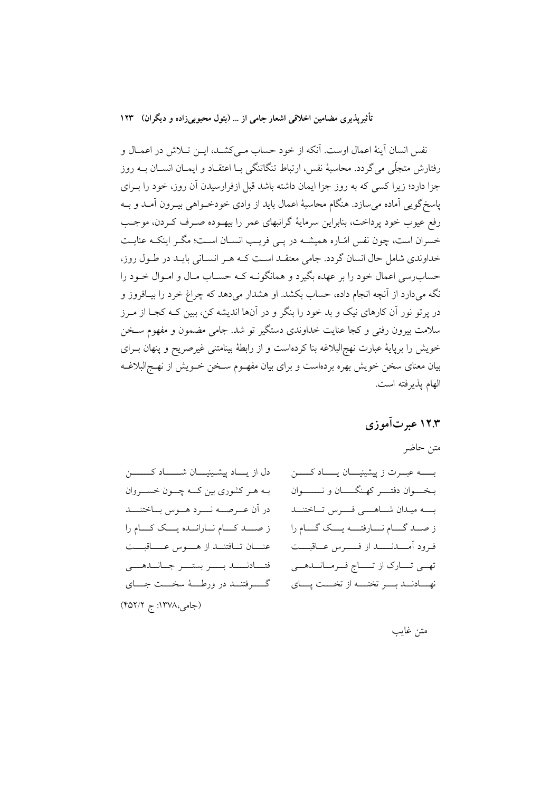نفس انسان آینهٔ اعمال اوست. آنکه از خود حساب مـیکشــد، ایــن تــلاش در اعمــال و رفتارش متجلَّى مي گردد. محاسبهٔ نفس، ارتباط تنگاتنگي بـا اعتقــاد و ايمــان انســان بــه روز جزا دارد؛ زیرا کسی که به روز جزا ایمان داشته باشد قبل ازفرارسیدن آن روز، خود را بـرای ياسخ گويي آماده مي سازد. هنگام محاسبهٔ اعمال بايد از وادي خودخـواهي بيـرون آمــد و بــه رفع عيوب خود پرداخت، بنابراين سرمايهٔ گرانبهاي عمر را بيهـوده صـرف كـردن، موجـب خسران است، چون نفس امّـاره همیشــه در پــی فریـب انســان اســت؛ مگــر اینکــه عنایــت خداوندی شامل حال انسان گردد. جامی معتقـد اسـت کـه هـر انسـانی بایـد در طـول روز، حساب رسی اعمال خود را بر عهده بگیرد و همانگونـه کـه حسـاب مـال و امـوال خـود را نگه میدارد از آنچه انجام داده، حساب بکشد. او هشدار میدهد که چراغ خرد را بیـافروز و در پرتو نور آن کارهای نیک و بد خود را بنگر و در آنها اندیشه کن، ببین کـه کجـا از مـرز سلامت بیرون رفتی و کجا عنایت خداوندی دستگیر تو شد. جامی مضمون و مفهوم سـخن خویش را برپایهٔ عبارت نهجالبلاغه بنا کردهاست و از رابطهٔ بینامتنی غیرصریح و پنهان بـرای بیان معنای سخن خویش بهره بردهاست و برای بیان مفهـوم سـخن خــویش از نهــج|لبلاغــه الهام يذيرفته است.

# ۱۲.۳ عبرتآموزی

## متن حاضر

دل از يساد پيشينيسان شـــــاد كـــــــــن بـه هـر كشوري بين كــه چــون خســـروان در آن عــرصـــه نــــرد هـــوس بــاختنــــد ز صلد كه نارانده يك كه عنان تافتنــد از هـــوس عــــاقبـــت فتسادنسمد بسسر بستسر جسانسدهسي گـــــــرفتنـــــــد در ورطـــــهٔ سخــــت جـــــــای (جامی،۱۳۷۸: ج ۴۵۲/۲)

بـــــه عبـــرت ز پیشینیـــان یـــــاد کــــــن بـخــــوان دفتــــر كهـنگـــــان و نـــــــــوان بسسه ميبدان شساهسني فسنرس تساختنسد ز صــد گـــام نــــارفتــــه يــــك گـــام را فرود آمــــدنــــــد از فـــــــرس عـــاقبــــت تهـي تـــارک از تـــــاج فــرمــانـــدهـــي نهــادنــد بــــر تختــــه از تخــــت پــــاي

متن غايب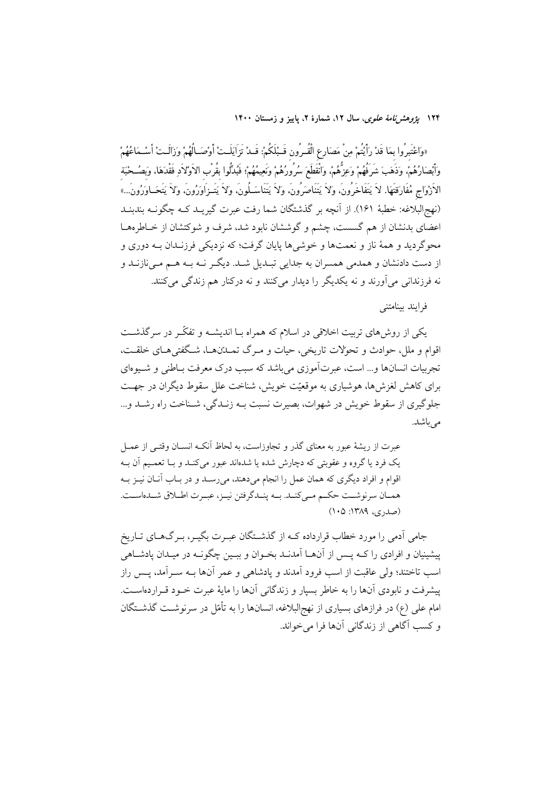۱۲۴ پژ*وهشرنامهٔ علوی*، سال ۱۲، شمارهٔ ۲، پاییز و زمستان ۱۴۰۰

«وَاعْتَبِرُوا بِمَا قَدْ رَأَيْتُمْ مِنْ مَصَارِعِ الْقُـرُونِ قَـبْلَكُمْ: قَــدْ تَزَايَلَــتْ أَوْصَـالُهُمْ وَزَالَـتْ أَسْـمَاعُهُمْ وَٱبْصَارُهُمْ، وَذَهَبَ شَرَفُهُمْ وَعِزُّهُمْ، وَانْقَطَعَ سُرُورُهُمْ وَنَعِيمُهُمْ؛ فَبُدَّلُوا بقُرب الأوْلاَدِ فَقْدَهَا، وَبَصُـحْبَة الاَرْوَاجِ مُفَارَقتَهَا. لاَ يَتَفَاخَرُونَ، وَلاَ يَتَنَاصَرُونَ، وَلاَ يَتَنَاسَـلُونَ، وَلاَ يَتَـزَاوَرُونَ، وَلاَ يَتَحَـاوَرُونَ...» (نهج|لبلاغه: خطبهٔ ۱۶۱). از اّنچه بر گذشتگان شما رفت عبرت گیریـد کـه چگونــه بندبنــد اعضای بدنشان از هم گسست، چشم و گوششان نابود شد، شرف و شوکتشان از خـاطرههــا محوگردید و همهٔ ناز و نعمتها و خوشیها پایان گرفت؛ که نزدیکی فرزنـدان بــه دوری و از دست دادنشان و همدمی همسران به جدایی تبـدیل شـد. دیگـر نـه بـه هـم مـیiازنـد و نه فرزندانی می[ورند و نه یکدیگر را دیدار میکنند و نه درکنار هم زندگی میکنند.

فرايند يتنامتني

یکی از روش،ای تربیت اخلاقی در اسلام که همراه بـا اندیشــه و تفکّـر در سرگذشــت اقوام و ملل، حوادث و تحولات تاریخی، حیات و مـرگ تمــدّنهــا، شــگفتى هــاى خلقــت، تجربیات انسانها و… است، عبرتآموزی می باشد که سبب درک معرفت بـاطنی و شـیوهای برای کاهش لغزش ها، هوشیاری به موقعیّت خویش، شناخت علل سقوط دیگران در جهـت جلوگیری از سقوط خویش در شهوات، بصیرت نسبت بـه زنـدگی، شـناخت راه رشـد و... می باشد.

عبرت از ریشهٔ عبور به معنای گذر و تجاوزاست، به لحاظ اّنکـه انســان وقتــی از عمــل یک فرد یا گروه و عقوبتی که دچارش شده یا شدهاند عبور میکند و بـا تعمـیم آن بـه اقوام و افراد دیگری که همان عمل را انجام میدهند، میرسـد و در بـاب آنـان نيـز بـه همـان سرنوشـت حكـم مـىكنـد. بــه پنــدگرفتن نيــز، عبــرت اطــلاق شــدهاســت. (صدری، ۱۳۸۹: ۱۰۵)

جامی آدمی را مورد خطاب قرارداده کـه از گذشــتگان عبـرت بگیـر، بـرگـهـای تــاریخ پیشینیان و افرادی را کــه پــس از آنهــا آمدنــد بخــوان و ببــین چگونــه در میــدان یادشــاهی اسب تاختند؛ ولي عاقبت از اسب فرود آمدند و يادشاهي و عمر آنها بــه ســرآمد، پــس راز پیشرفت و نابودی آنها را به خاطر بسیار و زندگانی آنها را مایهٔ عبرت خـود قـراردهاسـت. امام علی (ع) در فرازهای بسیاری از نهج|لبلاغه، انسانها را به تأمّل در سرنوشـت گذشــتگان و كسب آگاهي از زندگاني آنها فرا مي خواند.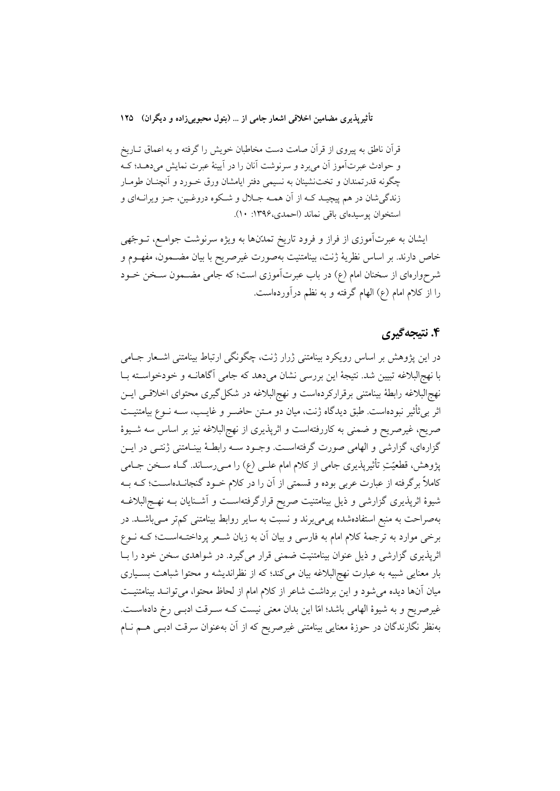قرآن ناطق به پیروی از قرآن صامت دست مخاطبان خویش را گرفته و به اعماق تــاریخ و حوادث عبرتآموز آن مي برد و سرنوشت آنان را در آيينهٔ عبرت نمايش مي دهـد؛ كـه چگونه قدرتمندان و تخت:شینان به نسیمی دفتر ایامشان ورق خـورد و آنچنان طومـار زندگي شان در هم پيچيـد كـه از آن همـه جــلال و شــكوه دروغـين، جـز ويرانــهاي و استخوان يوسيدهاي باقي نماند (احمدي،١٣٩۶: ١٠).

ایشان به عبرتآموزی از فراز و فرود تاریخ تمدّنها به ویژه سرنوشت جوامـع، تــوجّهی خاص دارند. بر اساس نظريهٔ ژنت، بينامتنيت بهصورت غيرصريح با بيان مضـمون، مفهـوم و شرحوارهای از سخنان امام (ع) در باب عبرتآموزی است؛ که جامی مضــمون ســخن خــود را از کلام امام (ع) الهام گرفته و به نظم درآوردهاست.

# ۴. نتىجەگىرى

در این یژوهش بر اساس رویکرد بینامتنی ژرار ژنت، چگونگی ارتباط بینامتنی اشـعار جـامی با نهجالبلاغه تبیین شد. نتیجهٔ این بررسی نشان می دهد که جامی آگاهانــه و خودخواســته بــا نهج|لبلاغه رابطهٔ بینامتنی برقرارکردهاست و نهج|لبلاغه در شکل گیری محتوای اخلاقــی ایــن اثر بی ثأثیر نبودهاست. طبق دیدگاه ژنت، میان دو مـتن حاضـر و غایـب، ســه نــوع بیامتنیــت صریح، غیرصریح و ضمنی به کاررفتهاست و اثرپذیری از نهجالبلاغه نیز بر اساس سه شـیوهٔ گزارهای، گزارشی و الهامی صورت گرفتهاست. وجـود سـه رابطـهٔ بینـامتنی ژنتـی در ایــن پژوهش، قطعیّتِ تأثیرپذیری جامی از کلام امام علــی (ع) را مــی(ســاند. گــاه ســخن جــامی کاملاً برگرفته از عبارت عربی بوده و قسمتی از آن را در کلام خــود گنجانــدهاســت؛ کــه بــه شیوهٔ اثرپذیری گزارشی و ذیل بینامتنیت صریح قرارگرفتهاسـت و آشـنایان بــه نهــج|لبلاغــه بهصراحت به منبع استفادهشده پی می برند و نسبت به سایر روابط بینامتنی کمتر مـیباشـد. در برخی موارد به ترجمهٔ کلام امام به فارسی و بیان آن به زبان شـعر پرداختـهاسـت؛ کـه نــوع اثرپذیری گزارشی و ذیل عنوان بینامتنیت ضمنی قرار میگیرد. در شواهدی سخن خود را بـا بار معنایی شبیه به عبارت نهج|لبلاغه بیان میکند؛ که از نظراندیشه و محتوا شباهت بسـیاری میان آنها دیده می شود و این برداشت شاعر از کلام امام از لحاظ محتوا، می توانـد بینامتنیـت غیرصریح و به شیوهٔ الهامی باشد؛ امّا این بدان معنی نیست کـه سـرقت ادبـی رخ دادهاسـت. بهنظر نگارندگان در حوزهٔ معنایی بینامتنی غیرصریح که از آن بهعنوان سرقت ادبـی هــم نــام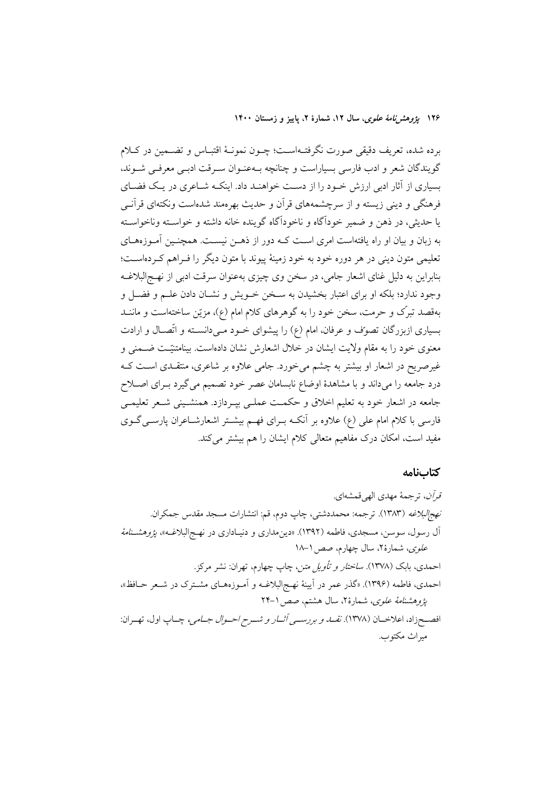۱۲۶ پژ*وهشرنامهٔ علوی*، سال ۱۲، شمارهٔ ۲، پاییز و زمستان ۱۴۰۰

برده شده، تعریف دقیقی صورت نگرفتـهاسـت؛ چــون نمونــهٔ اقتبــاس و تضــمین در کــلام گویندگان شعر و ادب فارسی بسیاراست و چنانچه بـهعنـوان سـرقت ادبـی معرفـی شــوند، بسیاری از آثار ادبی ارزش خـود را از دسـت خواهنـد داد. اینکـه شـاعری در یـک فضـای فرهنگی و دینی زیسته و از سرچشمههای قرآن و حدیث بهرهمند شدهاست ونکتهای قرآنــی يا حديثي، در ذهن و ضمير خودآگاه و ناخودآگاه گوينده خانه داشته و خواسـته وناخواسـته به زبان و بیان او راه یافتهاست امری اسـت کــه دور از ذهــن نیســت. همچنــین آمــوزههــای تعلیمی متون دینی در هر دوره خود به خود زمینهٔ پیوند با متون دیگر را فـراهم کـردهاسـت؛ بنابراین به دلیل غنای اشعار جامی، در سخن وی چیزی بهعنوان سرقت ادبی از نهـجالبلاغـه وجود ندارد؛ بلکه او برای اعتبار بخشیدن به سـخن خـویش و نشـان دادن علـم و فضـل و بهقصد تبرِّک و حرمت، سخن خود را به گوهرهای کلام امام (ع)، مزیّن ساختهاست و ماننــد بسیاری ازبزرگان تصوّف و عرفان، امام (ع) را پیشوای خـود مـیدانسـته و اتّصـال و ارادت معنوی خود را به مقام ولایت ایشان در خلال اشعارش نشان دادهاست. بینامتنیّـت ضــمنی و غیرصریح در اشعار او بیشتر به چشم می خورد. جامی علاوه بر شاعری، منتقـدی اسـت کـه درد جامعه را میداند و با مشاهدهٔ اوضاع نابسامان عصر خود تصمیم می گیرد بـرای اصـلاح جامعه در اشعار خود به تعليم اخلاق و حكمـت عملـي بيـردازد. همنشـيني شـعر تعليمـي فارسی با کلام امام علی (ع) علاوه بر آنکـه بـرای فهـم بیشـتر اشعارشـاعران پارســیگــوی مفید است، امکان درک مفاهیم متعالی کلام ایشان را هم بیشتر می کند.

#### كتابنامه

قرآن، ترجمهٔ مهدی الهی قمشهای. نهج البلاغه (١٣٨٣). ترجمه: محمددشتي، چاپ دوم، قم: انتشارات مسجد مقدس جمكران. آل رسول، سوسن، مسجدي، فاطمه (١٣٩٢). «دين مداري و دنيـاداري در نهـج|لبلاغـه»، *يژوهشـنامهٔ* علوی، شمارهٔ۲، سال چهارم، صص ۱۸–۱۸ احمدی، بابک (۱۳۷۸). *ساختار و تأویل متن*، چاپ چهارم، تهران: نشر مرکز. احمدی، فاطمه (۱۳۹۶). «گذر عمر در آیینهٔ نهـج|لبلاغــه و آمــوزههــای مشــترک در شــعر حــافظ»، يژوهشن*امهٔ علوي،* شمارهٔ ۲، سال هشتم، صص ۱–۲۴ افصـــــمزاد، اعلاخــان (١٣٧٨). *نقـــا. و بررســـي آثــار و شـــرح احــوال جــامي،* چــاپ اول، تهــران: ميراث مكتوب.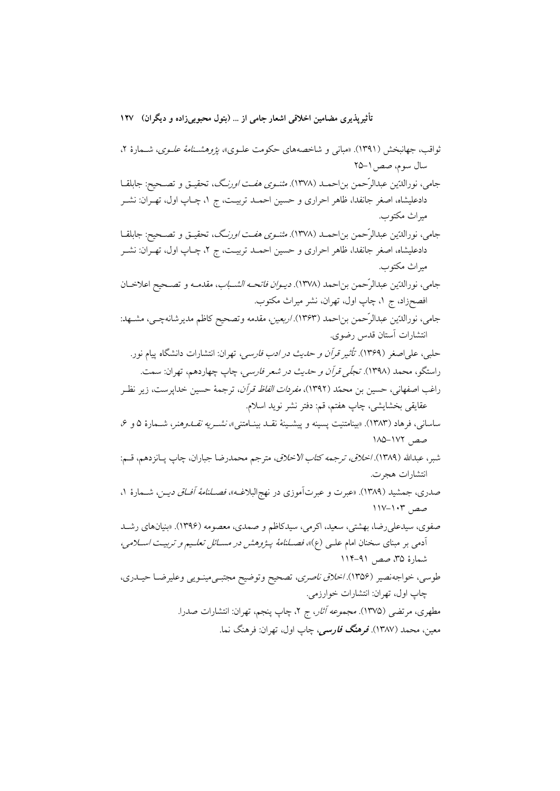ثواقب، جهانبخش (۱۳۹۱). «مبانی و شاخصههای حکومت علـوی»، *یژوهشـنامهٔ علـوی*، شـمارهٔ ۲، سال سوم، صص ١-٢۵

جامی، نورالدّین عبدالرّحمن بن احمـد (۱۳۷۸). *مثنـوی هفـت اورن*گ، تحقیـق و تصـحیح: جابلقـا دادعلیشاه، اصغر جانفدا، ظاهر احراری و حسین احمــد تربیــت، ج ۱، چــاپ اول، تهــران: نشــر ميراث مكتوب.

جامي، نورالدّين عبدالرّحمن بن احمـد (١٣٧٨). *مثنـوي هفـت اورن*گ، تحقيـق و تصـحيح: جابلقـا دادعلیشاه، اصغر جانفدا، ظاهر احراری و حسین احمـد تربیـت، ج ۲، چــاپ اول، تهــران: نشــر مبراث مكتوب.

جامي، نورالدّين عبدالرّحمن بناحمد (١٣٧٨). *ديـوان فاتحـه الشـباب*، مقدمـه و تصـحيح اعلاخـان افصحزاد، ج ۱، چاپ اول، تهران، نشر میراث مکتوب.

جامي، نورالدّين عبدالرّحمن بناحمد (١٣۶٣). /ربعين، مقدمه وتصحيح كاظم مديرشانهچـي، مشـهد: انتشارات آستان قدس رضوي.

حلبي، علي اصغر (١٣۶٩). ت*أثير قرآن و حديث در ادب فارسي،* تهران: انتشارات دانشگاه ييام نور. راستگو، محمد (۱۳۹۸). *تجلّی قرآن و حدیث در شعر فارسی،* چاپ چهاردهم، تهران: سمت.

راغب اصفهاني، حسين بن محمّد (١٣٩٢)، *مفردات الفاظ قرآن*، ترجمهٔ حسين خدايرست، زير نظـر عقايقي بخشايشي، چاپ هفتم، قم: دفتر نشر نويد اسلام.

ساساني، فرهاد (١٣٨٣). «بينامتنيت يسينه و ييشـينهٔ نقـد بينـامتني»، *نشـريه نقـدوهنر*، شـمارهٔ ۵ و ۶، صص, ۱۷۲–۱۸۵

شبر، عبدالله (۱۳۸۹) *. اخلاق، ترجمه كتاب الاخلاق*، مترجم محمدرضا جباران، چاپ پــانزدهم، قــم: انتشارات هجرت.

صدری، جمشید (۱۳۸۹). «عبرت و عبرتآموزی در نهج|لبلاغـه»، *فصــلنامهٔ آفـاق دیــن*، شــمارهٔ ۱، صص ١٠٣-١١٧

صفوی، سیدعلی رضا، بهشتی، سعید، اکرمی، سیدکاظم و صمدی، معصومه (۱۳۹۶). «بنیانهای رشـد آدمی بر مبنای سخنان امام علـی (ع)»، *فصـلنامهٔ پـژوهش در مسـائل تعلـیم و تربیـت اسـلامی،* شمارهٔ ۳۵، صص ۹۱–۱۱۴

طوسي، خواجهنصير (١٣٥۶). *اخلاق ناصري*، تصحيح وتوضيح مجتبـيمينـويي وعليرضـا حيــدري، چاپ اول، تھران: انتشارات خوارزمي.

مطهري، مرتضى (١٣٧۵). *مجموعه آثار*، ج ٢، چاپ پنجم، تهران: انتشارات صدرا. معین، محمد (۱۳۸۷). ق**رهنگ فارس**ی، چاپ اول، تهران: فرهنگ نما.